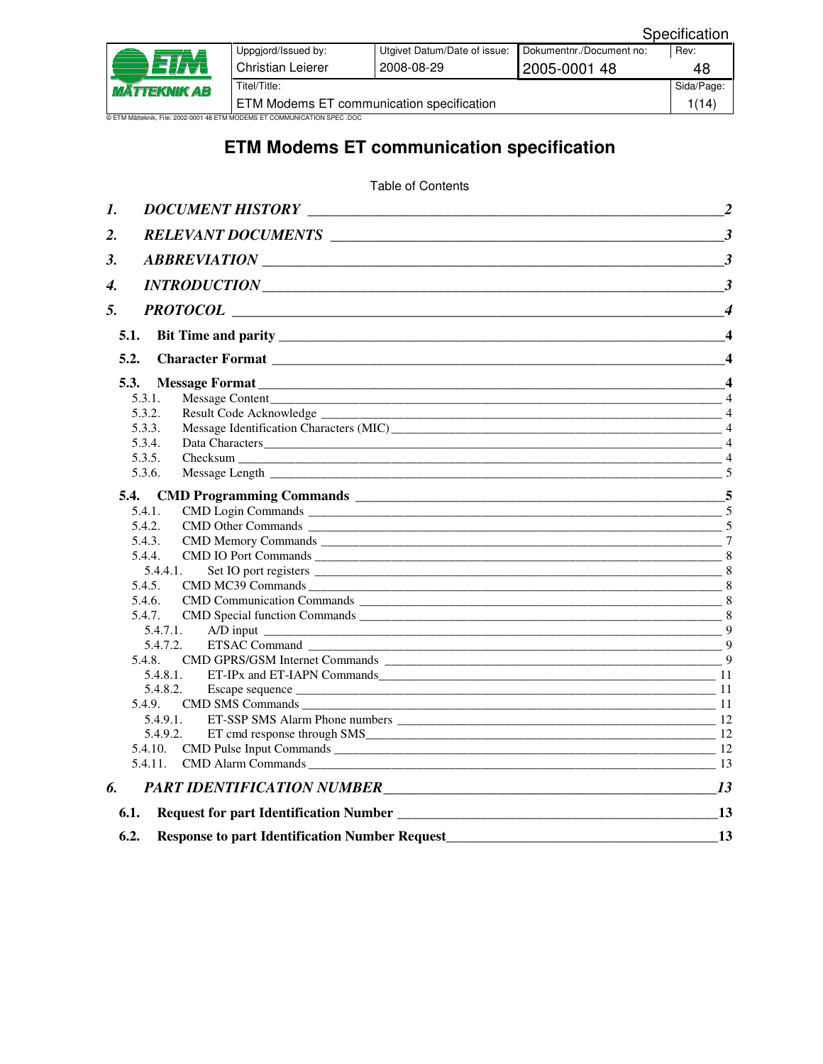| <i><b>MÄTTEKNIK AB</b></i>                                                | Uppgjord/Issued by:                       | Utgivet Datum/Date of issue: | Dokumentnr./Document no: | Rev:       |  |
|---------------------------------------------------------------------------|-------------------------------------------|------------------------------|--------------------------|------------|--|
|                                                                           | <b>Christian Leierer</b>                  | 2008-08-29                   | 2005-0001 48             | 48         |  |
|                                                                           | Titel/Title:                              |                              |                          | Sida/Page: |  |
|                                                                           | ETM Modems ET communication specification |                              |                          | 1(14)      |  |
| © ETM Mätteknik, File: 2002-0001 48 ETM MODEMS ET COMMUNICATION SPEC .DOC |                                           |                              |                          |            |  |

# **ETM Modems ET communication specification**

Table of Contents

| 1.                                                                                              | $\overline{2}$         |
|-------------------------------------------------------------------------------------------------|------------------------|
| 2.                                                                                              | $\mathbf{3}$           |
| 3.                                                                                              |                        |
| 4.                                                                                              | $\mathbf{3}$           |
| 5.                                                                                              | $\boldsymbol{\Lambda}$ |
| 5.1.                                                                                            | $\boldsymbol{\Lambda}$ |
|                                                                                                 |                        |
| 5.2.                                                                                            | $\boldsymbol{\Lambda}$ |
| 5.3.                                                                                            | $\boldsymbol{\Lambda}$ |
| 5.3.1.                                                                                          |                        |
| 5.3.2.                                                                                          | $\overline{4}$         |
| 5.3.3.                                                                                          |                        |
| 5.3.4.                                                                                          |                        |
| 5.3.5.                                                                                          |                        |
| 5.3.6.                                                                                          |                        |
|                                                                                                 |                        |
| 5.4.1.                                                                                          | $\overline{5}$         |
| 5.4.2.                                                                                          |                        |
| 5.4.3.                                                                                          |                        |
| 5.4.4.                                                                                          |                        |
| 5.4.4.1.                                                                                        |                        |
| 5.4.5<br>CMD MC39 Commands 8                                                                    |                        |
| 5.4.6.                                                                                          |                        |
| 5.4.7.                                                                                          |                        |
| 5.4.7.1.                                                                                        |                        |
| 5.4.7.2.                                                                                        |                        |
| 5.4.8                                                                                           |                        |
| 5.4.8.1.                                                                                        |                        |
|                                                                                                 |                        |
| 5.4.9.                                                                                          |                        |
| 5.4.9.1.                                                                                        |                        |
| 5.4.9.2                                                                                         |                        |
|                                                                                                 |                        |
|                                                                                                 |                        |
| PART IDENTIFICATION NUMBER<br>6.                                                                | 13                     |
| 6.1.                                                                                            | 13                     |
| Request for part Identification Number <b>Server Accepts</b> 2014 <b>Contract Contract 2014</b> |                        |
| 6.2.<br><b>Response to part Identification Number Request</b>                                   | 13                     |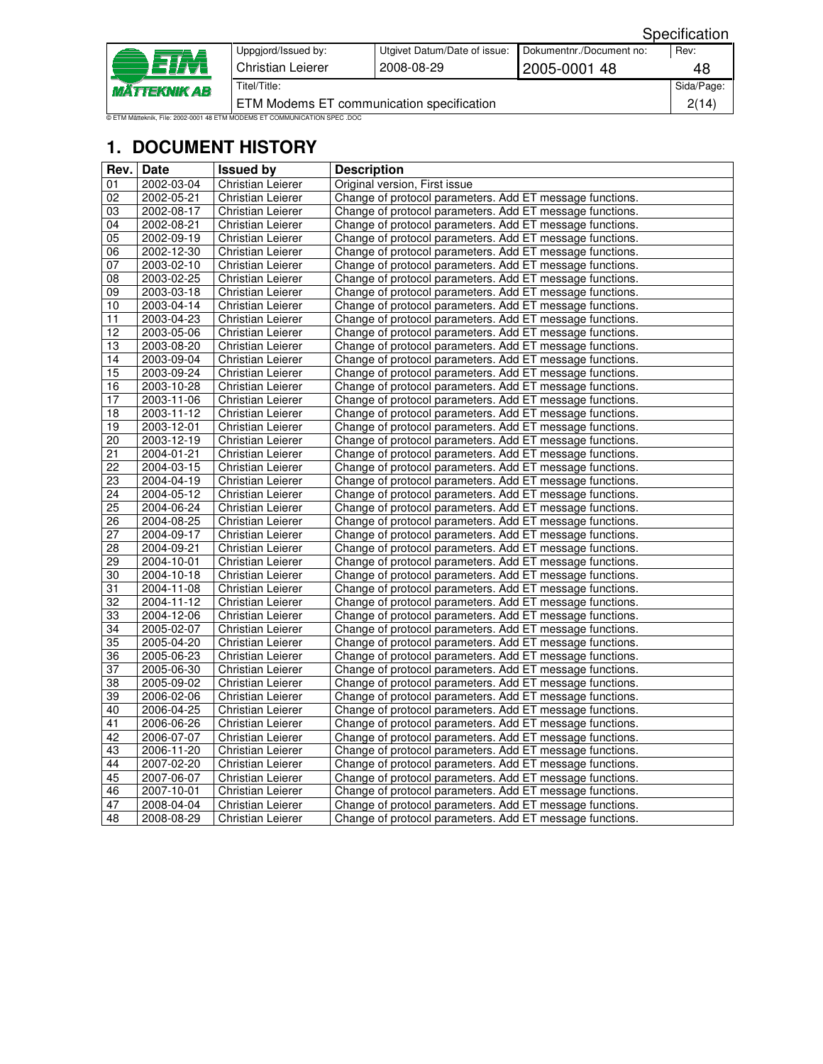| Specification |  |
|---------------|--|
|               |  |

| <i><b>MÄTTEKNIK AB</b></i>                                                | Uppgjord/Issued by:<br>Christian Leierer  | Utgivet Datum/Date of issue:<br>2008-08-29 | Dokumentnr./Document no:<br>2005-0001 48 | Rev:<br>48 |
|---------------------------------------------------------------------------|-------------------------------------------|--------------------------------------------|------------------------------------------|------------|
|                                                                           | Titel/Title:                              |                                            |                                          | Sida/Page: |
|                                                                           | ETM Modems ET communication specification |                                            |                                          | 2(14)      |
| © ETM Mätteknik, File: 2002-0001 48 ETM MODEMS ET COMMUNICATION SPEC .DOC |                                           |                                            |                                          |            |

# **1. DOCUMENT HISTORY**

| Rev.            | <b>Date</b>      | <b>Issued by</b>         | <b>Description</b>                                       |
|-----------------|------------------|--------------------------|----------------------------------------------------------|
| 01              | 2002-03-04       | <b>Christian Leierer</b> | Original version, First issue                            |
| 02              | 2002-05-21       | <b>Christian Leierer</b> | Change of protocol parameters. Add ET message functions. |
| 03              | 2002-08-17       | <b>Christian Leierer</b> | Change of protocol parameters. Add ET message functions. |
| 04              | 2002-08-21       | <b>Christian Leierer</b> | Change of protocol parameters. Add ET message functions. |
| 05              | 2002-09-19       | Christian Leierer        | Change of protocol parameters. Add ET message functions. |
| 06              | $2002 - 12 - 30$ | Christian Leierer        | Change of protocol parameters. Add ET message functions. |
| 07              | 2003-02-10       | <b>Christian Leierer</b> | Change of protocol parameters. Add ET message functions. |
| $\overline{08}$ | 2003-02-25       | <b>Christian Leierer</b> | Change of protocol parameters. Add ET message functions. |
| 09              | 2003-03-18       | <b>Christian Leierer</b> | Change of protocol parameters. Add ET message functions. |
| 10              | 2003-04-14       | <b>Christian Leierer</b> | Change of protocol parameters. Add ET message functions. |
| 11              | 2003-04-23       | Christian Leierer        | Change of protocol parameters. Add ET message functions. |
| 12              | 2003-05-06       | <b>Christian Leierer</b> | Change of protocol parameters. Add ET message functions. |
| 13              | 2003-08-20       | Christian Leierer        | Change of protocol parameters. Add ET message functions. |
| 14              | 2003-09-04       | <b>Christian Leierer</b> | Change of protocol parameters. Add ET message functions. |
| 15              | 2003-09-24       | Christian Leierer        | Change of protocol parameters. Add ET message functions. |
| 16              | 2003-10-28       | <b>Christian Leierer</b> | Change of protocol parameters. Add ET message functions. |
| 17              | 2003-11-06       | Christian Leierer        | Change of protocol parameters. Add ET message functions. |
| 18              | 2003-11-12       | <b>Christian Leierer</b> | Change of protocol parameters. Add ET message functions. |
| 19              | 2003-12-01       | <b>Christian Leierer</b> | Change of protocol parameters. Add ET message functions. |
| $\overline{20}$ | $2003 - 12 - 19$ | <b>Christian Leierer</b> | Change of protocol parameters. Add ET message functions. |
| $\overline{21}$ | 2004-01-21       | <b>Christian Leierer</b> | Change of protocol parameters. Add ET message functions. |
| $\overline{22}$ | 2004-03-15       | Christian Leierer        | Change of protocol parameters. Add ET message functions. |
| 23              | 2004-04-19       | <b>Christian Leierer</b> | Change of protocol parameters. Add ET message functions. |
| 24              | 2004-05-12       | Christian Leierer        | Change of protocol parameters. Add ET message functions. |
| 25              | 2004-06-24       | <b>Christian Leierer</b> | Change of protocol parameters. Add ET message functions. |
| 26              | 2004-08-25       | <b>Christian Leierer</b> | Change of protocol parameters. Add ET message functions. |
| 27              | 2004-09-17       | <b>Christian Leierer</b> | Change of protocol parameters. Add ET message functions. |
| $\overline{28}$ | 2004-09-21       | <b>Christian Leierer</b> | Change of protocol parameters. Add ET message functions. |
| 29              | 2004-10-01       | <b>Christian Leierer</b> | Change of protocol parameters. Add ET message functions. |
| 30              | 2004-10-18       | <b>Christian Leierer</b> | Change of protocol parameters. Add ET message functions. |
| 31              | 2004-11-08       | <b>Christian Leierer</b> | Change of protocol parameters. Add ET message functions. |
| 32              | 2004-11-12       | Christian Leierer        | Change of protocol parameters. Add ET message functions. |
| 33              | 2004-12-06       | Christian Leierer        | Change of protocol parameters. Add ET message functions. |
| 34              | 2005-02-07       | Christian Leierer        | Change of protocol parameters. Add ET message functions. |
| $\overline{35}$ | 2005-04-20       | Christian Leierer        | Change of protocol parameters. Add ET message functions. |
| 36              | 2005-06-23       | Christian Leierer        | Change of protocol parameters. Add ET message functions. |
| $\overline{37}$ | 2005-06-30       | Christian Leierer        | Change of protocol parameters. Add ET message functions. |
| 38              | 2005-09-02       | <b>Christian Leierer</b> | Change of protocol parameters. Add ET message functions. |
| 39              | 2006-02-06       | Christian Leierer        | Change of protocol parameters. Add ET message functions. |
| 40              | 2006-04-25       | <b>Christian Leierer</b> | Change of protocol parameters. Add ET message functions. |
| $\overline{41}$ | 2006-06-26       | <b>Christian Leierer</b> | Change of protocol parameters. Add ET message functions. |
| 42              | 2006-07-07       | Christian Leierer        | Change of protocol parameters. Add ET message functions. |
| 43              | 2006-11-20       | <b>Christian Leierer</b> | Change of protocol parameters. Add ET message functions. |
| 44              | 2007-02-20       | Christian Leierer        | Change of protocol parameters. Add ET message functions. |
| 45              | 2007-06-07       | <b>Christian Leierer</b> | Change of protocol parameters. Add ET message functions. |
| 46              | 2007-10-01       | Christian Leierer        | Change of protocol parameters. Add ET message functions. |
| 47              | 2008-04-04       | <b>Christian Leierer</b> | Change of protocol parameters. Add ET message functions. |
| 48              | 2008-08-29       | Christian Leierer        | Change of protocol parameters. Add ET message functions. |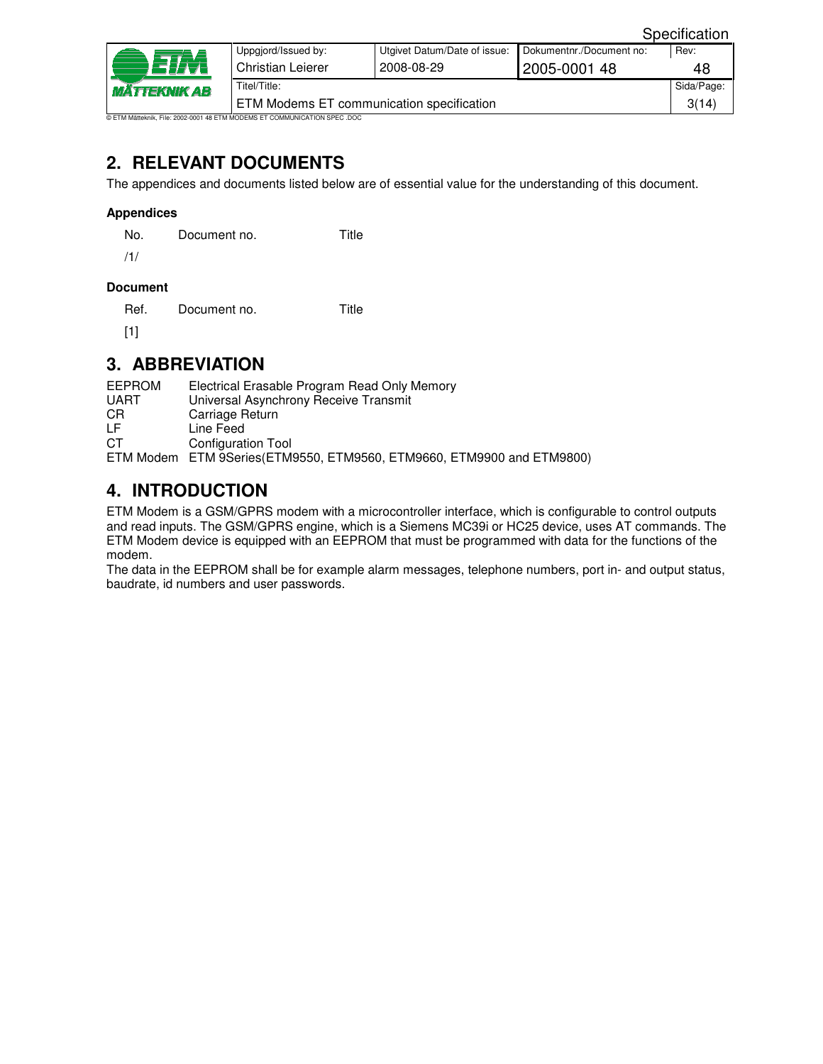|                                                                      |                                           |                              |                          | Specification |  |
|----------------------------------------------------------------------|-------------------------------------------|------------------------------|--------------------------|---------------|--|
| n 2 <i>17</i> 71<br>TTEKNIK AB                                       | Uppgjord/Issued by:                       | Utgivet Datum/Date of issue: | Dokumentnr./Document no: | Rev:          |  |
|                                                                      | Christian Leierer                         | 2008-08-29                   | 2005-0001 48             | 48            |  |
|                                                                      | Titel/Title:                              |                              |                          | Sida/Page:    |  |
|                                                                      | ETM Modems ET communication specification |                              |                          | 3(14)         |  |
| ätteknik. File: 2002-0001 48 FTM MODEMS ET COMMLINICATION SPEC. DOC. |                                           |                              |                          |               |  |

# **2. RELEVANT DOCUMENTS**

The appendices and documents listed below are of essential value for the understanding of this document.

#### **Appendices**

No. Document no. Title

/1/

#### **Document**

Ref. Document no. Title

[1]

# **3. ABBREVIATION**

| EEPROM | Electrical Erasable Program Read Only Memory                          |
|--------|-----------------------------------------------------------------------|
| UART   | Universal Asynchrony Receive Transmit                                 |
| СR     | Carriage Return                                                       |
| LF     | Line Feed                                                             |
| СT     | Configuration Tool                                                    |
|        | ETM Modem ETM 9Series(ETM9550, ETM9560, ETM9660, ETM9900 and ETM9800) |

# **4. INTRODUCTION**

ETM Modem is a GSM/GPRS modem with a microcontroller interface, which is configurable to control outputs and read inputs. The GSM/GPRS engine, which is a Siemens MC39i or HC25 device, uses AT commands. The ETM Modem device is equipped with an EEPROM that must be programmed with data for the functions of the modem.

The data in the EEPROM shall be for example alarm messages, telephone numbers, port in- and output status, baudrate, id numbers and user passwords.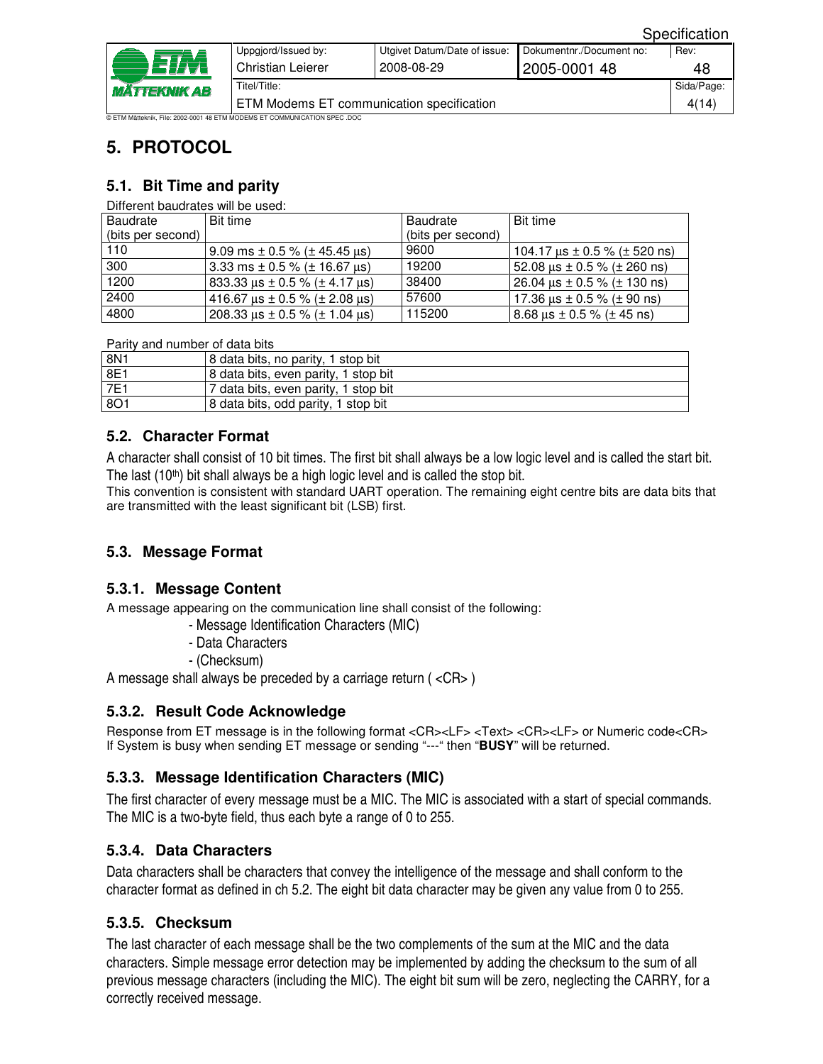| <i><b>MÄTTEKNIK AB</b></i>                                                | Uppgjord/Issued by:                       | Utgivet Datum/Date of issue: | Dokumentnr./Document no: | Rev:       |  |
|---------------------------------------------------------------------------|-------------------------------------------|------------------------------|--------------------------|------------|--|
|                                                                           | Christian Leierer                         | 2008-08-29                   | 2005-0001 48             | 48         |  |
|                                                                           | Titel/Title:                              |                              |                          | Sida/Page: |  |
|                                                                           | ETM Modems ET communication specification |                              |                          | 4(14)      |  |
| © ETM Mätteknik, File: 2002-0001 48 ETM MODEMS ET COMMUNICATION SPEC .DOC |                                           |                              |                          |            |  |

# **5. PROTOCOL**

## **5.1. Bit Time and parity**

Different baudrates will be used:

| Baudrate          | Bit time                                     | <b>Baudrate</b>   | Bit time                              |
|-------------------|----------------------------------------------|-------------------|---------------------------------------|
| (bits per second) |                                              | (bits per second) |                                       |
| 110               | 9.09 ms $\pm$ 0.5 % ( $\pm$ 45.45 $\mu$ s)   | 9600              | 104.17 $\mu$ s ± 0.5 % (± 520 ns)     |
| 300               | 3.33 ms $\pm$ 0.5 % ( $\pm$ 16.67 us)        | 19200             | 52.08 $\mu$ s ± 0.5 % ( $\pm$ 260 ns) |
| 1200              | 833.33 $\mu$ s ± 0.5 % ( $\pm$ 4.17 $\mu$ s) | 38400             | 26.04 $\mu$ s ± 0.5 % ( $\pm$ 130 ns) |
| 2400              | 416.67 $\mu$ s ± 0.5 % ( $\pm$ 2.08 $\mu$ s) | 57600             | 17.36 $\mu$ s ± 0.5 % ( $\pm$ 90 ns)  |
| 4800              | 208.33 $\mu$ s ± 0.5 % ( $\pm$ 1.04 $\mu$ s) | 115200            | 8.68 $\mu$ s ± 0.5 % ( $\pm$ 45 ns)   |

Parity and number of data bits

| 8N1        | 8 data bits, no parity, 1 stop bit   |
|------------|--------------------------------------|
| 8E1        | 8 data bits, even parity, 1 stop bit |
| 7E1        | 7 data bits, even parity, 1 stop bit |
| <b>8O1</b> | 8 data bits, odd parity, 1 stop bit  |

## **5.2. Character Format**

A character shall consist of 10 bit times. The first bit shall always be a low logic level and is called the start bit. The last  $(10<sup>th</sup>)$  bit shall always be a high logic level and is called the stop bit.

This convention is consistent with standard UART operation. The remaining eight centre bits are data bits that are transmitted with the least significant bit (LSB) first.

## **5.3. Message Format**

#### **5.3.1. Message Content**

A message appearing on the communication line shall consist of the following:

- Message Identification Characters (MIC)
- Data Characters
- (Checksum)

A message shall always be preceded by a carriage return ( <CR> )

## **5.3.2. Result Code Acknowledge**

Response from ET message is in the following format <CR><LF> <Text> <CR><LF> or Numeric code<CR> If System is busy when sending ET message or sending "---" then "**BUSY**" will be returned.

## **5.3.3. Message Identification Characters (MIC)**

The first character of every message must be a MIC. The MIC is associated with a start of special commands. The MIC is a two-byte field, thus each byte a range of 0 to 255.

## **5.3.4. Data Characters**

Data characters shall be characters that convey the intelligence of the message and shall conform to the character format as defined in ch 5.2. The eight bit data character may be given any value from 0 to 255.

## **5.3.5. Checksum**

The last character of each message shall be the two complements of the sum at the MIC and the data characters. Simple message error detection may be implemented by adding the checksum to the sum of all previous message characters (including the MIC). The eight bit sum will be zero, neglecting the CARRY, for a correctly received message.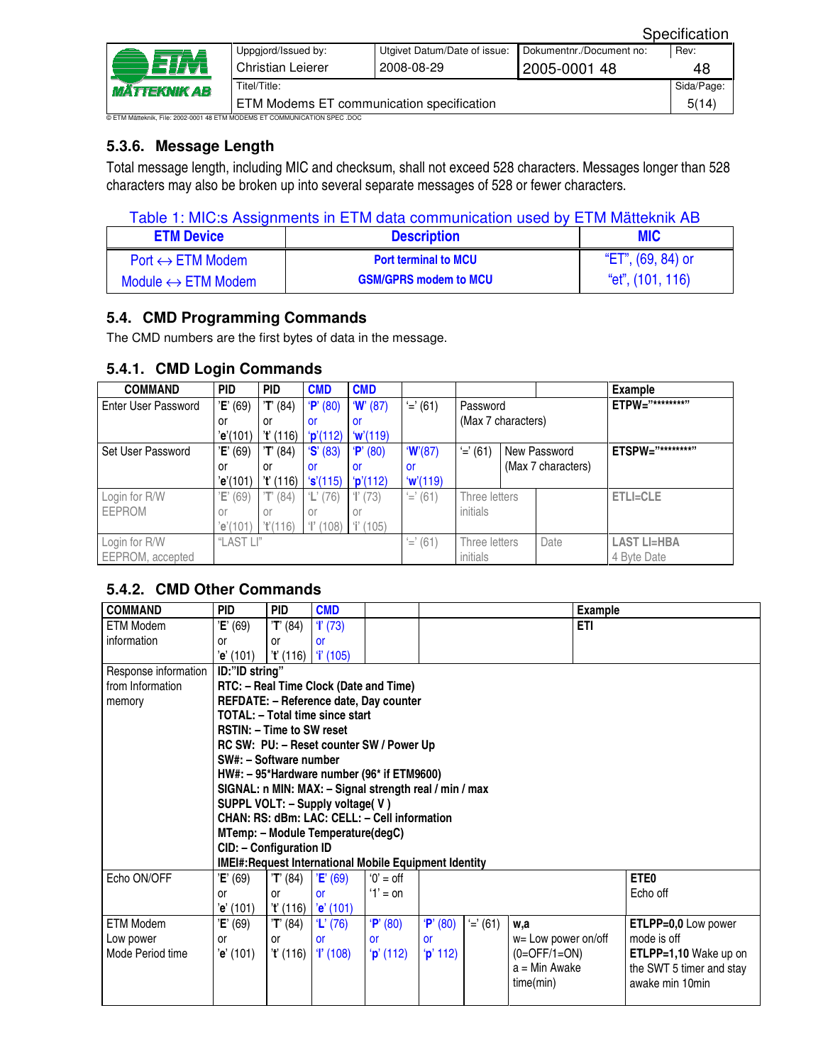|                                                                           | Uppgjord/Issued by:                       | Utgivet Datum/Date of issue: | Dokumentnr./Document no: | Rev:       |  |
|---------------------------------------------------------------------------|-------------------------------------------|------------------------------|--------------------------|------------|--|
| ETM<br><i><b>MÄTTEKNIK AB</b></i>                                         | Christian Leierer                         | 2008-08-29                   | 2005-0001 48             | 48         |  |
|                                                                           | Titel/Title:                              |                              |                          | Sida/Page: |  |
|                                                                           | ETM Modems ET communication specification |                              |                          | 5(14)      |  |
| ETM Mätteknik. File: 2002-0001 48 FTM MODEMS ET COMMI INICATION SPEC. DOC |                                           |                              |                          |            |  |

## **5.3.6. Message Length**

Total message length, including MIC and checksum, shall not exceed 528 characters. Messages longer than 528 characters may also be broken up into several separate messages of 528 or fewer characters.

|  |  | Table 1: MIC:s Assignments in ETM data communication used by ETM Mätteknik AB |  |  |  |
|--|--|-------------------------------------------------------------------------------|--|--|--|
|--|--|-------------------------------------------------------------------------------|--|--|--|

| <b>ETM Device</b>                  | <b>Description</b>           | <b>MIC</b>        |
|------------------------------------|------------------------------|-------------------|
| $Port \leftrightarrow ETM$ Modem   | <b>Port terminal to MCU</b>  | "ET", (69, 84) or |
| Module $\leftrightarrow$ ETM Modem | <b>GSM/GPRS modem to MCU</b> | "et", (101, 116)  |

## **5.4. CMD Programming Commands**

The CMD numbers are the first bytes of data in the message.

| <b>COMMAND</b>             | <b>PID</b> | <b>PID</b>  | <b>CMD</b>           | <b>CMD</b>  |             |                    |                    |      | <b>Example</b>     |
|----------------------------|------------|-------------|----------------------|-------------|-------------|--------------------|--------------------|------|--------------------|
| <b>Enter User Password</b> | 'E' (69)   | 'T' (84)    | P' (80)              | W(87)       | $'$ =' (61) |                    | Password           |      | ETPW="********"    |
|                            | or         | or          | or                   | or          |             | (Max 7 characters) |                    |      |                    |
|                            | 'e'(101)   | 't' (116)   | p'(112)              | w'(119)     |             |                    |                    |      |                    |
| Set User Password          | 'E' (69)   | T' (84)     | S' (83)              | 'P'<br>(80) | W(87)       | $' = (61)$         | New Password       |      | ETSPW="*********"  |
|                            | or         | or          | or                   | or          | .or         |                    | (Max 7 characters) |      |                    |
|                            | 'e'(101)   | 't' (116)   | 's'(115)             | p'(112)     | w'(119)     |                    |                    |      |                    |
| Login for R/W              | Έ<br>(69)  | 'T'<br>(84) | $\mathbb{L}$<br>(76) | T(73)       | $' =' (61)$ | Three letters      |                    |      | <b>ETLI=CLE</b>    |
| <b>EEPROM</b>              | or         | or          | or                   | or          |             | initials           |                    |      |                    |
|                            | 'e'(101)   | T(116)      | T(108)               | $'i'$ (105) |             |                    |                    |      |                    |
| Login for R/W              | "LAST LI"  |             |                      |             | $' =' (61)$ | Three letters      |                    | Date | <b>LAST LI=HBA</b> |
| EEPROM, accepted           |            |             |                      |             |             | initials           |                    |      | 4 Byte Date        |

## **5.4.1. CMD Login Commands**

## **5.4.2. CMD Other Commands**

| <b>COMMAND</b>       | <b>PID</b>                                             | <b>PID</b> | <b>CMD</b>                             |                                                        |                 |            |                     | <b>Example</b>           |  |  |  |
|----------------------|--------------------------------------------------------|------------|----------------------------------------|--------------------------------------------------------|-----------------|------------|---------------------|--------------------------|--|--|--|
| <b>ETM Modem</b>     | 'E' (69)                                               | 'T' (84)   | T(73)                                  |                                                        |                 |            | <b>ETI</b>          |                          |  |  |  |
| information          | or                                                     | or         | <b>or</b>                              |                                                        |                 |            |                     |                          |  |  |  |
|                      | 'e' (101)                                              |            | $i'$ (116) $i'$ (105)                  |                                                        |                 |            |                     |                          |  |  |  |
| Response information | ID:"ID string"                                         |            |                                        |                                                        |                 |            |                     |                          |  |  |  |
| from Information     |                                                        |            | RTC: - Real Time Clock (Date and Time) |                                                        |                 |            |                     |                          |  |  |  |
| memory               |                                                        |            |                                        | REFDATE: - Reference date, Day counter                 |                 |            |                     |                          |  |  |  |
|                      |                                                        |            | TOTAL: - Total time since start        |                                                        |                 |            |                     |                          |  |  |  |
|                      | <b>RSTIN: - Time to SW reset</b>                       |            |                                        |                                                        |                 |            |                     |                          |  |  |  |
|                      |                                                        |            |                                        | RC SW: PU: - Reset counter SW / Power Up               |                 |            |                     |                          |  |  |  |
|                      | SW#: - Software number                                 |            |                                        |                                                        |                 |            |                     |                          |  |  |  |
|                      |                                                        |            |                                        | HW#: - 95*Hardware number (96* if ETM9600)             |                 |            |                     |                          |  |  |  |
|                      | SIGNAL: n MIN: MAX: - Signal strength real / min / max |            |                                        |                                                        |                 |            |                     |                          |  |  |  |
|                      | SUPPL VOLT: - Supply voltage(V)                        |            |                                        |                                                        |                 |            |                     |                          |  |  |  |
|                      | CHAN: RS: dBm: LAC: CELL: - Cell information           |            |                                        |                                                        |                 |            |                     |                          |  |  |  |
|                      |                                                        |            | MTemp: - Module Temperature(degC)      |                                                        |                 |            |                     |                          |  |  |  |
|                      | CID: - Configuration ID                                |            |                                        |                                                        |                 |            |                     |                          |  |  |  |
|                      |                                                        |            |                                        | IMEI#: Request International Mobile Equipment Identity |                 |            |                     |                          |  |  |  |
| Echo ON/OFF          | 'E' (69)                                               | 'T' (84)   | 'E' (69)                               | $0' =$ off                                             |                 |            |                     | ETE <sub>0</sub>         |  |  |  |
|                      | <b>or</b>                                              | or         | <b>or</b>                              | $'1' = 0n$                                             |                 |            |                     | Echo off                 |  |  |  |
|                      | 'e' (101)                                              | T(116)     | 'e' (101)                              |                                                        |                 |            |                     |                          |  |  |  |
| <b>ETM Modem</b>     | 'E' (69)                                               | 'T' (84)   | $'L'$ (76)                             | P' (80)                                                | P' (80)         | $'=' (61)$ | w.a                 | ETLPP=0,0 Low power      |  |  |  |
| Low power            | <b>or</b>                                              | or         | <b>or</b>                              | <b>or</b>                                              | <b>or</b>       |            | w= Low power on/off | mode is off              |  |  |  |
| Mode Period time     | 'e' (101)                                              | 't' (116)  | T(108)                                 | p'(112)                                                | <b>p</b> ' 112) |            | $(0=OFF/1=ON)$      | ETLPP=1,10 Wake up on    |  |  |  |
|                      |                                                        |            |                                        |                                                        |                 |            | a = Min Awake       | the SWT 5 timer and stay |  |  |  |
|                      |                                                        |            |                                        |                                                        |                 |            | time(min)           | awake min 10min          |  |  |  |
|                      |                                                        |            |                                        |                                                        |                 |            |                     |                          |  |  |  |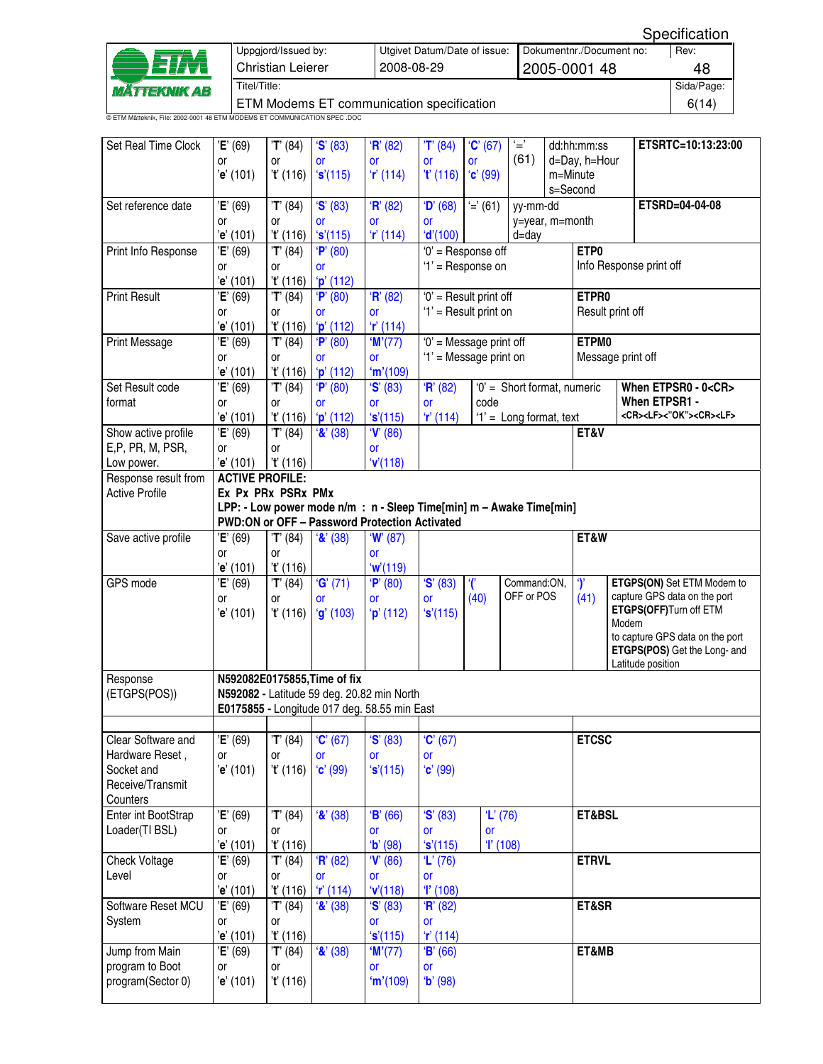| ETM                        | Uppgjord/Issued by:<br><b>Christian Leierer</b>                           | Utgivet Datum/Date of issue:<br>2008-08-29 | Dokumentnr./Document no:<br>2005-0001 48 | Rev:<br>48 |  |  |  |  |
|----------------------------|---------------------------------------------------------------------------|--------------------------------------------|------------------------------------------|------------|--|--|--|--|
| <i><b>MÄTTEKNIK AB</b></i> | Titel/Title:                                                              |                                            |                                          |            |  |  |  |  |
|                            | ETM Modems ET communication specification                                 |                                            |                                          |            |  |  |  |  |
|                            | © ETM Mätteknik, File: 2002-0001 48 ETM MODEMS ET COMMUNICATION SPEC .DOC |                                            |                                          |            |  |  |  |  |

| (61)<br>d=Day, h=Hour<br>0r<br>or<br>or<br>or<br><b>or</b><br><b>or</b><br>'t' (116)<br>'s'(115)<br>r(114)<br>T(116)<br>$C'$ (99)<br>m=Minute<br>'e' (101)<br>s=Second<br>'S' (83)<br>H' (82)<br>$'=' (61)$<br>ETSRD=04-04-08<br>Set reference date<br>'E' (69)<br>'T' (84)<br>D' (68)<br>yy-mm-dd<br>y=year, m=month<br>or<br>0r<br><b>or</b><br><b>or</b><br>or<br>'s'(115)<br>r(114)<br>'d'(100)<br>$d = day$<br>'e' (101)<br>'t' (116)<br>ETP <sub>0</sub><br>$\overline{E}$ ' (69)<br>$\overline{T}$ <sup>'</sup> (84)<br>$0'$ = Response off<br>Print Info Response<br>P' (80)<br>Info Response print off<br>'1' = Response on<br>0r<br><b>or</b><br>or<br>'t' (116)<br>p'(112)<br>'e' (101)<br>$E'$ (69)<br>$\overline{T}$ <sup>'</sup> (84)<br>$\overline{P}$ <sup>(80)</sup><br>H' (82)<br>'0' = Result print off<br>ETPR0<br><b>Print Result</b><br>'1' = Result print on<br>Result print off<br>or<br>or<br>or<br>or<br>r(114)<br>'e' (101)<br>'t' (116)<br>$'p'$ (112)<br>$\overline{P'}(80)$<br>'0' = Message print off<br>ETPM0<br>'E' (69)<br>W(77)<br><b>Print Message</b><br>'T' (84)<br>'1' = Message print on<br>Message print off<br>or<br>0r<br><b>or</b><br>or<br>'m'(109)<br>$'p'$ (112)<br>'e' (101)<br>'t' (116)<br>Set Result code<br>'E' (69)<br>'T' (84)<br>S' (83)<br>H' (82)<br>'0' = Short format, numeric<br>P' (80)<br>When ETPSR0 - 0 <cr><br/>When ETPSR1 -<br/>format<br/>code<br/>0r<br/>0r<br/><b>or</b><br/><b>or</b><br/>or<br/><cr><lf>&lt;"OK"&gt;<cr><lf><br/>'s'(115)<br/>r'(114)<br/>'1' = Long format, text<br/>'e' (101)<br/>'t' (116)<br/><math>'p'</math> (112)<br/>Show active profile<br/>'E' (69)<br/>'T' (84)<br/><math>'</math>&amp;' (38)<br/>V' (86)<br/>ET&amp;V<br/>E,P, PR, M, PSR,<br/>or<br/>0r<br/>or<br/>'e' (101)<br/>'V(118)<br/>'t' (116)<br/>Low power.<br/>Response result from<br/><b>ACTIVE PROFILE:</b></lf></cr></lf></cr></cr> |                                 |
|---------------------------------------------------------------------------------------------------------------------------------------------------------------------------------------------------------------------------------------------------------------------------------------------------------------------------------------------------------------------------------------------------------------------------------------------------------------------------------------------------------------------------------------------------------------------------------------------------------------------------------------------------------------------------------------------------------------------------------------------------------------------------------------------------------------------------------------------------------------------------------------------------------------------------------------------------------------------------------------------------------------------------------------------------------------------------------------------------------------------------------------------------------------------------------------------------------------------------------------------------------------------------------------------------------------------------------------------------------------------------------------------------------------------------------------------------------------------------------------------------------------------------------------------------------------------------------------------------------------------------------------------------------------------------------------------------------------------------------------------------------------------------------------------------------------------------------------------------------------------------------------------------------|---------------------------------|
|                                                                                                                                                                                                                                                                                                                                                                                                                                                                                                                                                                                                                                                                                                                                                                                                                                                                                                                                                                                                                                                                                                                                                                                                                                                                                                                                                                                                                                                                                                                                                                                                                                                                                                                                                                                                                                                                                                         |                                 |
|                                                                                                                                                                                                                                                                                                                                                                                                                                                                                                                                                                                                                                                                                                                                                                                                                                                                                                                                                                                                                                                                                                                                                                                                                                                                                                                                                                                                                                                                                                                                                                                                                                                                                                                                                                                                                                                                                                         |                                 |
|                                                                                                                                                                                                                                                                                                                                                                                                                                                                                                                                                                                                                                                                                                                                                                                                                                                                                                                                                                                                                                                                                                                                                                                                                                                                                                                                                                                                                                                                                                                                                                                                                                                                                                                                                                                                                                                                                                         |                                 |
|                                                                                                                                                                                                                                                                                                                                                                                                                                                                                                                                                                                                                                                                                                                                                                                                                                                                                                                                                                                                                                                                                                                                                                                                                                                                                                                                                                                                                                                                                                                                                                                                                                                                                                                                                                                                                                                                                                         |                                 |
|                                                                                                                                                                                                                                                                                                                                                                                                                                                                                                                                                                                                                                                                                                                                                                                                                                                                                                                                                                                                                                                                                                                                                                                                                                                                                                                                                                                                                                                                                                                                                                                                                                                                                                                                                                                                                                                                                                         |                                 |
|                                                                                                                                                                                                                                                                                                                                                                                                                                                                                                                                                                                                                                                                                                                                                                                                                                                                                                                                                                                                                                                                                                                                                                                                                                                                                                                                                                                                                                                                                                                                                                                                                                                                                                                                                                                                                                                                                                         |                                 |
|                                                                                                                                                                                                                                                                                                                                                                                                                                                                                                                                                                                                                                                                                                                                                                                                                                                                                                                                                                                                                                                                                                                                                                                                                                                                                                                                                                                                                                                                                                                                                                                                                                                                                                                                                                                                                                                                                                         |                                 |
|                                                                                                                                                                                                                                                                                                                                                                                                                                                                                                                                                                                                                                                                                                                                                                                                                                                                                                                                                                                                                                                                                                                                                                                                                                                                                                                                                                                                                                                                                                                                                                                                                                                                                                                                                                                                                                                                                                         |                                 |
|                                                                                                                                                                                                                                                                                                                                                                                                                                                                                                                                                                                                                                                                                                                                                                                                                                                                                                                                                                                                                                                                                                                                                                                                                                                                                                                                                                                                                                                                                                                                                                                                                                                                                                                                                                                                                                                                                                         |                                 |
|                                                                                                                                                                                                                                                                                                                                                                                                                                                                                                                                                                                                                                                                                                                                                                                                                                                                                                                                                                                                                                                                                                                                                                                                                                                                                                                                                                                                                                                                                                                                                                                                                                                                                                                                                                                                                                                                                                         |                                 |
|                                                                                                                                                                                                                                                                                                                                                                                                                                                                                                                                                                                                                                                                                                                                                                                                                                                                                                                                                                                                                                                                                                                                                                                                                                                                                                                                                                                                                                                                                                                                                                                                                                                                                                                                                                                                                                                                                                         |                                 |
|                                                                                                                                                                                                                                                                                                                                                                                                                                                                                                                                                                                                                                                                                                                                                                                                                                                                                                                                                                                                                                                                                                                                                                                                                                                                                                                                                                                                                                                                                                                                                                                                                                                                                                                                                                                                                                                                                                         |                                 |
|                                                                                                                                                                                                                                                                                                                                                                                                                                                                                                                                                                                                                                                                                                                                                                                                                                                                                                                                                                                                                                                                                                                                                                                                                                                                                                                                                                                                                                                                                                                                                                                                                                                                                                                                                                                                                                                                                                         |                                 |
|                                                                                                                                                                                                                                                                                                                                                                                                                                                                                                                                                                                                                                                                                                                                                                                                                                                                                                                                                                                                                                                                                                                                                                                                                                                                                                                                                                                                                                                                                                                                                                                                                                                                                                                                                                                                                                                                                                         |                                 |
|                                                                                                                                                                                                                                                                                                                                                                                                                                                                                                                                                                                                                                                                                                                                                                                                                                                                                                                                                                                                                                                                                                                                                                                                                                                                                                                                                                                                                                                                                                                                                                                                                                                                                                                                                                                                                                                                                                         |                                 |
|                                                                                                                                                                                                                                                                                                                                                                                                                                                                                                                                                                                                                                                                                                                                                                                                                                                                                                                                                                                                                                                                                                                                                                                                                                                                                                                                                                                                                                                                                                                                                                                                                                                                                                                                                                                                                                                                                                         |                                 |
|                                                                                                                                                                                                                                                                                                                                                                                                                                                                                                                                                                                                                                                                                                                                                                                                                                                                                                                                                                                                                                                                                                                                                                                                                                                                                                                                                                                                                                                                                                                                                                                                                                                                                                                                                                                                                                                                                                         |                                 |
|                                                                                                                                                                                                                                                                                                                                                                                                                                                                                                                                                                                                                                                                                                                                                                                                                                                                                                                                                                                                                                                                                                                                                                                                                                                                                                                                                                                                                                                                                                                                                                                                                                                                                                                                                                                                                                                                                                         |                                 |
|                                                                                                                                                                                                                                                                                                                                                                                                                                                                                                                                                                                                                                                                                                                                                                                                                                                                                                                                                                                                                                                                                                                                                                                                                                                                                                                                                                                                                                                                                                                                                                                                                                                                                                                                                                                                                                                                                                         |                                 |
| <b>Active Profile</b><br>Ex Px PRx PSRx PMx                                                                                                                                                                                                                                                                                                                                                                                                                                                                                                                                                                                                                                                                                                                                                                                                                                                                                                                                                                                                                                                                                                                                                                                                                                                                                                                                                                                                                                                                                                                                                                                                                                                                                                                                                                                                                                                             |                                 |
| LPP: - Low power mode n/m : n - Sleep Time[min] m - Awake Time[min]                                                                                                                                                                                                                                                                                                                                                                                                                                                                                                                                                                                                                                                                                                                                                                                                                                                                                                                                                                                                                                                                                                                                                                                                                                                                                                                                                                                                                                                                                                                                                                                                                                                                                                                                                                                                                                     |                                 |
| PWD:ON or OFF - Password Protection Activated                                                                                                                                                                                                                                                                                                                                                                                                                                                                                                                                                                                                                                                                                                                                                                                                                                                                                                                                                                                                                                                                                                                                                                                                                                                                                                                                                                                                                                                                                                                                                                                                                                                                                                                                                                                                                                                           |                                 |
| ET&W<br>'E' (69)<br>'T' (84)<br>W(87)<br>Save active profile<br>$\mathbf{R}'(38)$                                                                                                                                                                                                                                                                                                                                                                                                                                                                                                                                                                                                                                                                                                                                                                                                                                                                                                                                                                                                                                                                                                                                                                                                                                                                                                                                                                                                                                                                                                                                                                                                                                                                                                                                                                                                                       |                                 |
| 0r<br>or<br><b>or</b>                                                                                                                                                                                                                                                                                                                                                                                                                                                                                                                                                                                                                                                                                                                                                                                                                                                                                                                                                                                                                                                                                                                                                                                                                                                                                                                                                                                                                                                                                                                                                                                                                                                                                                                                                                                                                                                                                   |                                 |
| 'e' (101)<br>'t' (116)<br>w'(119)<br>$\mathcal{C}$<br>$\gamma$<br>GPS mode<br>G'(71)<br>'S' (83)<br>Command:ON,<br>'E' (69)<br>'T' (84)<br>P' (80)                                                                                                                                                                                                                                                                                                                                                                                                                                                                                                                                                                                                                                                                                                                                                                                                                                                                                                                                                                                                                                                                                                                                                                                                                                                                                                                                                                                                                                                                                                                                                                                                                                                                                                                                                      | ETGPS(ON) Set ETM Modem to      |
| OFF or POS<br>capture GPS data on the port<br>(40)<br>(41)<br>0r<br>0r<br><b>or</b><br><b>or</b><br>or                                                                                                                                                                                                                                                                                                                                                                                                                                                                                                                                                                                                                                                                                                                                                                                                                                                                                                                                                                                                                                                                                                                                                                                                                                                                                                                                                                                                                                                                                                                                                                                                                                                                                                                                                                                                  |                                 |
| ETGPS(OFF)Turn off ETM<br>'s'(115)<br>'e' (101)<br>'t' (116)<br>$'g'$ (103)<br>$'p'$ (112)                                                                                                                                                                                                                                                                                                                                                                                                                                                                                                                                                                                                                                                                                                                                                                                                                                                                                                                                                                                                                                                                                                                                                                                                                                                                                                                                                                                                                                                                                                                                                                                                                                                                                                                                                                                                              |                                 |
| Modem                                                                                                                                                                                                                                                                                                                                                                                                                                                                                                                                                                                                                                                                                                                                                                                                                                                                                                                                                                                                                                                                                                                                                                                                                                                                                                                                                                                                                                                                                                                                                                                                                                                                                                                                                                                                                                                                                                   | to capture GPS data on the port |
|                                                                                                                                                                                                                                                                                                                                                                                                                                                                                                                                                                                                                                                                                                                                                                                                                                                                                                                                                                                                                                                                                                                                                                                                                                                                                                                                                                                                                                                                                                                                                                                                                                                                                                                                                                                                                                                                                                         | ETGPS(POS) Get the Long- and    |
| Latitude position                                                                                                                                                                                                                                                                                                                                                                                                                                                                                                                                                                                                                                                                                                                                                                                                                                                                                                                                                                                                                                                                                                                                                                                                                                                                                                                                                                                                                                                                                                                                                                                                                                                                                                                                                                                                                                                                                       |                                 |
| N592082E0175855, Time of fix<br>Response                                                                                                                                                                                                                                                                                                                                                                                                                                                                                                                                                                                                                                                                                                                                                                                                                                                                                                                                                                                                                                                                                                                                                                                                                                                                                                                                                                                                                                                                                                                                                                                                                                                                                                                                                                                                                                                                |                                 |
| (ETGPS(POS))<br>N592082 - Latitude 59 deg. 20.82 min North                                                                                                                                                                                                                                                                                                                                                                                                                                                                                                                                                                                                                                                                                                                                                                                                                                                                                                                                                                                                                                                                                                                                                                                                                                                                                                                                                                                                                                                                                                                                                                                                                                                                                                                                                                                                                                              |                                 |
| E0175855 - Longitude 017 deg. 58.55 min East                                                                                                                                                                                                                                                                                                                                                                                                                                                                                                                                                                                                                                                                                                                                                                                                                                                                                                                                                                                                                                                                                                                                                                                                                                                                                                                                                                                                                                                                                                                                                                                                                                                                                                                                                                                                                                                            |                                 |
| Clear Software and<br>'E' (69)<br>'T' (84)<br>C'(67)<br>$\mathbf{S}'(83)$<br>C'(67)<br><b>ETCSC</b>                                                                                                                                                                                                                                                                                                                                                                                                                                                                                                                                                                                                                                                                                                                                                                                                                                                                                                                                                                                                                                                                                                                                                                                                                                                                                                                                                                                                                                                                                                                                                                                                                                                                                                                                                                                                     |                                 |
| Hardware Reset,<br>or<br>or<br>or<br><b>or</b><br>or                                                                                                                                                                                                                                                                                                                                                                                                                                                                                                                                                                                                                                                                                                                                                                                                                                                                                                                                                                                                                                                                                                                                                                                                                                                                                                                                                                                                                                                                                                                                                                                                                                                                                                                                                                                                                                                    |                                 |
| 'e' (101)<br>C'(99)<br>$C'$ (99)<br>Socket and<br>'t' (116)<br>'s'(115)                                                                                                                                                                                                                                                                                                                                                                                                                                                                                                                                                                                                                                                                                                                                                                                                                                                                                                                                                                                                                                                                                                                                                                                                                                                                                                                                                                                                                                                                                                                                                                                                                                                                                                                                                                                                                                 |                                 |
| Receive/Transmit                                                                                                                                                                                                                                                                                                                                                                                                                                                                                                                                                                                                                                                                                                                                                                                                                                                                                                                                                                                                                                                                                                                                                                                                                                                                                                                                                                                                                                                                                                                                                                                                                                                                                                                                                                                                                                                                                        |                                 |
| Counters                                                                                                                                                                                                                                                                                                                                                                                                                                                                                                                                                                                                                                                                                                                                                                                                                                                                                                                                                                                                                                                                                                                                                                                                                                                                                                                                                                                                                                                                                                                                                                                                                                                                                                                                                                                                                                                                                                |                                 |
| Enter int BootStrap<br>'E' (69)<br>'T' (84)<br>$'$ &' (38)<br>B' (66)<br>S' (83)<br>$'L'$ (76)<br>ET&BSL                                                                                                                                                                                                                                                                                                                                                                                                                                                                                                                                                                                                                                                                                                                                                                                                                                                                                                                                                                                                                                                                                                                                                                                                                                                                                                                                                                                                                                                                                                                                                                                                                                                                                                                                                                                                |                                 |
| Loader(TI BSL)<br>or<br>or<br><b>or</b><br><b>or</b><br><b>or</b>                                                                                                                                                                                                                                                                                                                                                                                                                                                                                                                                                                                                                                                                                                                                                                                                                                                                                                                                                                                                                                                                                                                                                                                                                                                                                                                                                                                                                                                                                                                                                                                                                                                                                                                                                                                                                                       |                                 |
| T(108)<br>'e' (101)<br>'t' (116)<br>(b' (98)<br>'s'(115)<br><b>ETRVL</b><br>'E' (69)<br>H' (82)<br>V(86)<br>Check Voltage<br>'T' (84)<br>$'L'$ (76)                                                                                                                                                                                                                                                                                                                                                                                                                                                                                                                                                                                                                                                                                                                                                                                                                                                                                                                                                                                                                                                                                                                                                                                                                                                                                                                                                                                                                                                                                                                                                                                                                                                                                                                                                     |                                 |
| Level<br>or<br>or<br>or<br>or<br><b>or</b>                                                                                                                                                                                                                                                                                                                                                                                                                                                                                                                                                                                                                                                                                                                                                                                                                                                                                                                                                                                                                                                                                                                                                                                                                                                                                                                                                                                                                                                                                                                                                                                                                                                                                                                                                                                                                                                              |                                 |
| 'e' (101)<br>'t' (116)<br>'V(118)<br>T(108)<br>r(114)                                                                                                                                                                                                                                                                                                                                                                                                                                                                                                                                                                                                                                                                                                                                                                                                                                                                                                                                                                                                                                                                                                                                                                                                                                                                                                                                                                                                                                                                                                                                                                                                                                                                                                                                                                                                                                                   |                                 |
| Software Reset MCU<br>E' (69)<br>$\overline{\mathbf{8}}$ ' (38)<br>$\overline{\mathbf{S}}$ <sup>(83)</sup><br>ET&SR<br>'T' (84)<br>$\overline{R}$ <sup>'</sup> (82)                                                                                                                                                                                                                                                                                                                                                                                                                                                                                                                                                                                                                                                                                                                                                                                                                                                                                                                                                                                                                                                                                                                                                                                                                                                                                                                                                                                                                                                                                                                                                                                                                                                                                                                                     |                                 |
| System<br>or<br>or<br>or<br><b>or</b>                                                                                                                                                                                                                                                                                                                                                                                                                                                                                                                                                                                                                                                                                                                                                                                                                                                                                                                                                                                                                                                                                                                                                                                                                                                                                                                                                                                                                                                                                                                                                                                                                                                                                                                                                                                                                                                                   |                                 |
| 't' (116)<br>'s'(115)<br>r(114)<br>'e' (101)                                                                                                                                                                                                                                                                                                                                                                                                                                                                                                                                                                                                                                                                                                                                                                                                                                                                                                                                                                                                                                                                                                                                                                                                                                                                                                                                                                                                                                                                                                                                                                                                                                                                                                                                                                                                                                                            |                                 |
| ET&MB<br>'E' (69)<br>T' (84)<br>$'$ &' (38)<br>W(77)<br>Jump from Main<br>B' (66)                                                                                                                                                                                                                                                                                                                                                                                                                                                                                                                                                                                                                                                                                                                                                                                                                                                                                                                                                                                                                                                                                                                                                                                                                                                                                                                                                                                                                                                                                                                                                                                                                                                                                                                                                                                                                       |                                 |
|                                                                                                                                                                                                                                                                                                                                                                                                                                                                                                                                                                                                                                                                                                                                                                                                                                                                                                                                                                                                                                                                                                                                                                                                                                                                                                                                                                                                                                                                                                                                                                                                                                                                                                                                                                                                                                                                                                         |                                 |
| program to Boot<br>or<br>or<br>or<br><b>or</b><br>program(Sector 0)<br>'t' (116)<br>'m'(109)<br>$b'$ (98)<br>'e' (101)                                                                                                                                                                                                                                                                                                                                                                                                                                                                                                                                                                                                                                                                                                                                                                                                                                                                                                                                                                                                                                                                                                                                                                                                                                                                                                                                                                                                                                                                                                                                                                                                                                                                                                                                                                                  |                                 |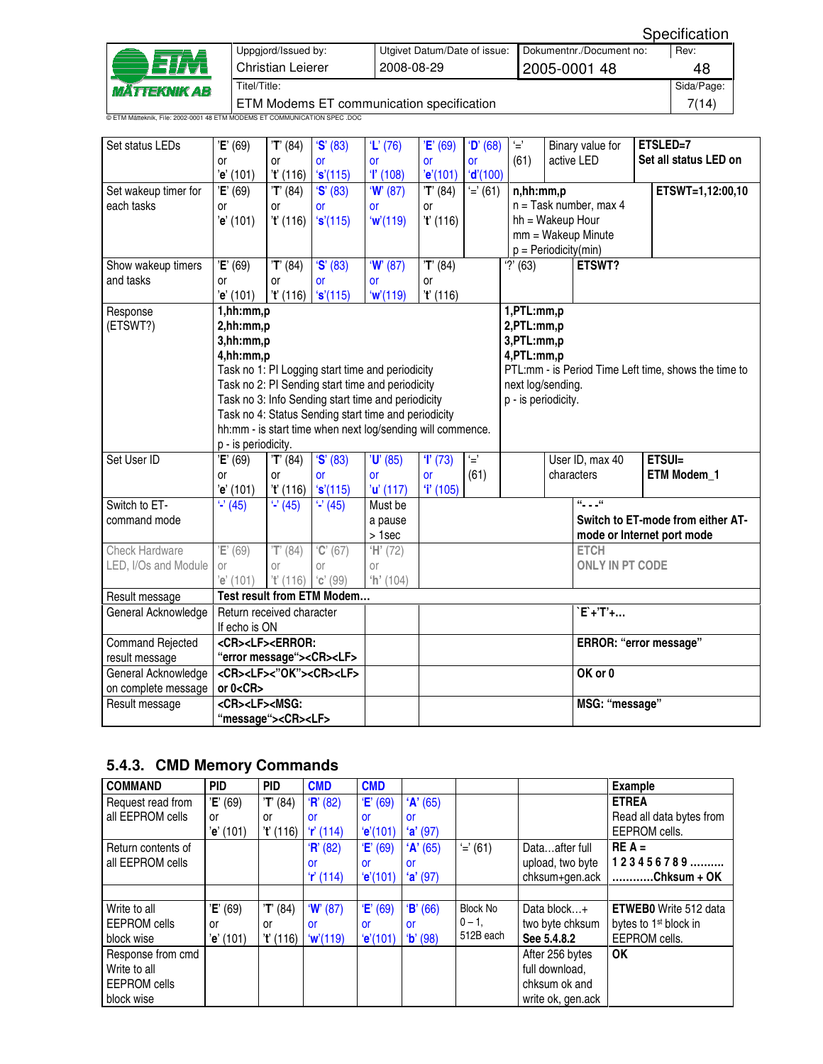|                                                                           | Uppgjord/Issued by:                       | Utgivet Datum/Date of issue: | Dokumentnr./Document no: | Rev: |  |  |  |  |
|---------------------------------------------------------------------------|-------------------------------------------|------------------------------|--------------------------|------|--|--|--|--|
| ETM                                                                       | Christian Leierer                         | 2008-08-29                   | 2005-0001 48             |      |  |  |  |  |
| Titel/Title:<br><i><b>MÄTTEKNIK AB</b></i>                                |                                           |                              |                          |      |  |  |  |  |
|                                                                           | ETM Modems ET communication specification |                              |                          |      |  |  |  |  |
| © ETM Mätteknik, File: 2002-0001 48 ETM MODEMS ET COMMUNICATION SPEC .DOC |                                           |                              |                          |      |  |  |  |  |

| Set status LEDs         | 'E' (69)<br><b>or</b><br>'e' (101)                                                                                                                          | 'T' (84)<br><b>or</b><br>'t' (116) | S' (83)<br><b>or</b><br>'s'(115) | $'L'$ (76)<br><b>or</b><br>T(108)                  | 'E' (69)<br><b>or</b><br>'e'(101) | D' (68)<br><b>or</b><br>'d' (100) | $\overline{\phantom{a}}$<br>(61)                           |  | Binary value for<br>active LED |  | ETSLED=7<br>Set all status LED on                    |
|-------------------------|-------------------------------------------------------------------------------------------------------------------------------------------------------------|------------------------------------|----------------------------------|----------------------------------------------------|-----------------------------------|-----------------------------------|------------------------------------------------------------|--|--------------------------------|--|------------------------------------------------------|
| Set wakeup timer for    | 'E' (69)                                                                                                                                                    | $T'$ (84)                          | 'S' (83)                         | W(87)                                              | 'T' (84)                          | $'=' (61)$                        | n,hh:mm,p                                                  |  |                                |  | ETSWT=1,12:00,10                                     |
| each tasks              | or                                                                                                                                                          | <b>or</b>                          | <b>or</b>                        | <b>or</b>                                          | <b>or</b>                         |                                   |                                                            |  | $n =$ Task number, max 4       |  |                                                      |
|                         | 'e' (101)                                                                                                                                                   | 't' (116)                          | 's'(115)                         | w'(119)                                            | 't' (116)                         |                                   | hh = Wakeup Hour                                           |  |                                |  |                                                      |
|                         |                                                                                                                                                             |                                    |                                  |                                                    |                                   |                                   |                                                            |  | $mm = Wakeup$ Minute           |  |                                                      |
|                         |                                                                                                                                                             |                                    |                                  |                                                    |                                   |                                   | $p = Periodicity(min)$                                     |  |                                |  |                                                      |
| Show wakeup timers      | 'E' (69)                                                                                                                                                    | $\overline{T}$ <sup>(84)</sup>     | 'S' (83)                         | W(87)                                              | T' (84)                           |                                   | $'$ ?' (63)                                                |  | ETSWT?                         |  |                                                      |
| and tasks               | <b>or</b>                                                                                                                                                   | <b>or</b>                          | <b>or</b>                        | <b>or</b>                                          | <b>or</b>                         |                                   |                                                            |  |                                |  |                                                      |
|                         | 'e' (101)                                                                                                                                                   | 't' (116)                          | 's'(115)                         | w'(119)                                            | 't' (116)                         |                                   |                                                            |  |                                |  |                                                      |
| Response<br>(ETSWT?)    | 1, h h: mm, p<br>2,hh:mm,p<br>3,hh:mm,p                                                                                                                     |                                    |                                  |                                                    |                                   |                                   | 1,PTL:mm,p<br>2,PTL:mm,p<br>3, PTL: mm, p<br>4, PTL: mm, p |  |                                |  |                                                      |
|                         | 4,hh:mm,p                                                                                                                                                   |                                    |                                  | Task no 1: PI Logging start time and periodicity   |                                   |                                   |                                                            |  |                                |  | PTL:mm - is Period Time Left time, shows the time to |
|                         |                                                                                                                                                             |                                    |                                  | Task no 2: PI Sending start time and periodicity   |                                   |                                   | next log/sending.                                          |  |                                |  |                                                      |
|                         |                                                                                                                                                             |                                    |                                  | Task no 3: Info Sending start time and periodicity |                                   |                                   | p - is periodicity.                                        |  |                                |  |                                                      |
|                         |                                                                                                                                                             |                                    |                                  |                                                    |                                   |                                   |                                                            |  |                                |  |                                                      |
|                         | Task no 4: Status Sending start time and periodicity<br>hh:mm - is start time when next log/sending will commence.                                          |                                    |                                  |                                                    |                                   |                                   |                                                            |  |                                |  |                                                      |
|                         | p - is periodicity.                                                                                                                                         |                                    |                                  |                                                    |                                   |                                   |                                                            |  |                                |  |                                                      |
| Set User ID             | 'E' (69)                                                                                                                                                    | 'T' (84)                           | 'S' (83)                         | $'U'$ (85)                                         | T(73)                             | Ú                                 |                                                            |  | User ID, max 40                |  | ETSUI=                                               |
|                         | or                                                                                                                                                          | or                                 | <b>or</b>                        | <b>or</b>                                          | <b>or</b>                         | (61)                              |                                                            |  | characters                     |  | ETM Modem_1                                          |
|                         | 'e' (101)                                                                                                                                                   | 't' (116)                          | 's'(115)                         | 'u' (117)                                          | T(105)                            |                                   |                                                            |  |                                |  |                                                      |
| Switch to ET-           | $\overline{42}$ (45)                                                                                                                                        | $\overline{2(45)}$                 | $\overline{4}$ (45)              | Must be                                            |                                   |                                   |                                                            |  | $a_{1,1}$ , $a$                |  |                                                      |
| command mode            |                                                                                                                                                             |                                    |                                  | a pause                                            |                                   |                                   |                                                            |  |                                |  | Switch to ET-mode from either AT-                    |
|                         |                                                                                                                                                             |                                    |                                  | > 1sec                                             |                                   |                                   |                                                            |  | mode or Internet port mode     |  |                                                      |
| <b>Check Hardware</b>   | 'E' (69)                                                                                                                                                    | $\overline{T}$ <sup>'</sup> (84)   | C' (67)                          | H' (72)                                            |                                   |                                   |                                                            |  | <b>ETCH</b>                    |  |                                                      |
| LED, I/Os and Module    | 0r                                                                                                                                                          | 0r                                 | or                               | 0r                                                 |                                   |                                   |                                                            |  | <b>ONLY IN PT CODE</b>         |  |                                                      |
|                         | 'e' (101)                                                                                                                                                   | 't' (116)                          | $C'$ (99)                        | h' (104)                                           |                                   |                                   |                                                            |  |                                |  |                                                      |
| Result message          |                                                                                                                                                             |                                    | Test result from ETM Modem       |                                                    |                                   |                                   |                                                            |  |                                |  |                                                      |
| General Acknowledge     | Return received character                                                                                                                                   |                                    |                                  |                                                    |                                   |                                   |                                                            |  | $EF+TT+$                       |  |                                                      |
|                         | If echo is ON                                                                                                                                               |                                    |                                  |                                                    |                                   |                                   |                                                            |  |                                |  |                                                      |
| <b>Command Rejected</b> | <cr><lf><error:< td=""><td></td><td></td><td></td><td></td><td></td><td></td><td></td><td>ERROR: "error message"</td><td></td><td></td></error:<></lf></cr> |                                    |                                  |                                                    |                                   |                                   |                                                            |  | ERROR: "error message"         |  |                                                      |
| result message          | "error message"> <cr><lf></lf></cr>                                                                                                                         |                                    |                                  |                                                    |                                   |                                   |                                                            |  |                                |  |                                                      |
| General Acknowledge     | <cr><lf>&lt;"OK"&gt;<cr><lf></lf></cr></lf></cr>                                                                                                            |                                    |                                  |                                                    |                                   |                                   |                                                            |  | OK or 0                        |  |                                                      |
| on complete message     | or $0 < CR$                                                                                                                                                 |                                    |                                  |                                                    |                                   |                                   |                                                            |  |                                |  |                                                      |
| Result message          |                                                                                                                                                             |                                    |                                  |                                                    |                                   |                                   |                                                            |  | MSG: "message"                 |  |                                                      |
|                         | <cr><lf><msg:<br>"message"&gt;<cr><lf></lf></cr></msg:<br></lf></cr>                                                                                        |                                    |                                  |                                                    |                                   |                                   |                                                            |  |                                |  |                                                      |

## **5.4.3. CMD Memory Commands**

| <b>COMMAND</b>      | <b>PID</b> | <b>PID</b> | <b>CMD</b> | <b>CMD</b> |           |                 |                   | <b>Example</b>                    |
|---------------------|------------|------------|------------|------------|-----------|-----------------|-------------------|-----------------------------------|
| Request read from   | 'E' (69)   | 'T' (84)   | H' (82)    | E'(69)     | 'A' (65)  |                 |                   | <b>ETREA</b>                      |
| all EEPROM cells    | or         | or         | or         | or         | <b>or</b> |                 |                   | Read all data bytes from          |
|                     | 'e' (101)  | 't' (116)  | r(114)     | (e'(101))  | (a'(97))  |                 |                   | EEPROM cells.                     |
| Return contents of  |            |            | H' (82)    | E'(69)     | 'A' (65)  | $' = (61)$      | Dataafter full    | $RE A =$                          |
| all EEPROM cells    |            |            | or         | or         | or        |                 | upload, two byte  | $123456789$                       |
|                     |            |            | r(114)     | (e'(101))  | (a'(97))  |                 | chksum+gen.ack    | $\ldots$ Chksum + OK              |
|                     |            |            |            |            |           |                 |                   |                                   |
| Write to all        | 'E' (69)   | T' (84)    | W(87)      | E'(69)     | B' (66)   | <b>Block No</b> | Data block+       | <b>ETWEBO</b> Write 512 data      |
| <b>EEPROM</b> cells | or         | or         | <b>or</b>  | or         | or        | $0 - 1$ .       | two byte chksum   | bytes to 1 <sup>st</sup> block in |
| block wise          | 'e' (101)  | 't' (116)  | w'(119)    | 'e'(101)   | $b'$ (98) | 512B each       | See 5.4.8.2       | EEPROM cells.                     |
| Response from cmd   |            |            |            |            |           |                 | After 256 bytes   | <b>OK</b>                         |
| Write to all        |            |            |            |            |           |                 | full download,    |                                   |
| <b>EEPROM</b> cells |            |            |            |            |           |                 | chksum ok and     |                                   |
| block wise          |            |            |            |            |           |                 | write ok, gen.ack |                                   |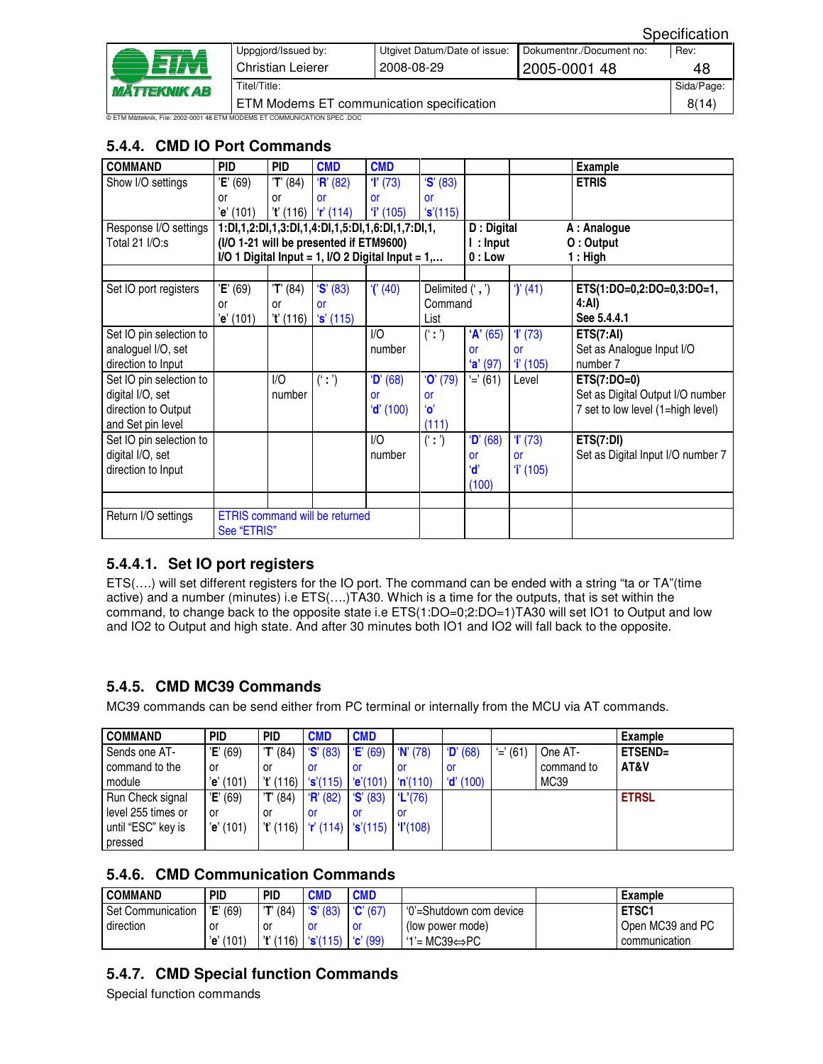|                            | Uppgjord/Issued by:                                                       | Utgivet Datum/Date of issue: | Dokumentnr./Document no: | Rev: |  |  |  |  |
|----------------------------|---------------------------------------------------------------------------|------------------------------|--------------------------|------|--|--|--|--|
| <b>eira</b>                | Christian Leierer                                                         | 2008-08-29<br>2005-0001 48   |                          |      |  |  |  |  |
| <i><b>MÄTTEKNIK AB</b></i> | Titel/Title:                                                              |                              |                          |      |  |  |  |  |
|                            | ETM Modems ET communication specification                                 |                              |                          |      |  |  |  |  |
|                            | © ETM Mätteknik, File: 2002-0001 48 ETM MODEMS ET COMMUNICATION SPEC .DOC |                              |                          |      |  |  |  |  |

## **5.4.4. CMD IO Port Commands**

| <b>COMMAND</b>          | <b>PID</b>  | <b>PID</b> | <b>CMD</b>                              | <b>CMD</b>                                            |                  |              |             | <b>Example</b>                    |
|-------------------------|-------------|------------|-----------------------------------------|-------------------------------------------------------|------------------|--------------|-------------|-----------------------------------|
| Show I/O settings       | 'E' (69)    | 'T' (84)   | H' (82)                                 | T(73)                                                 | 'S' (83)         |              |             | <b>ETRIS</b>                      |
|                         |             |            | <b>or</b>                               |                                                       |                  |              |             |                                   |
|                         | or          | <b>or</b>  |                                         | <b>or</b><br>$i'$ (105)                               | <b>or</b>        |              |             |                                   |
|                         | 'e' (101)   |            | $i'$ (116) $i'$ (114)                   |                                                       | 's'(115)         | D: Digital   |             |                                   |
| Response I/O settings   |             |            |                                         | 1:DI,1,2:DI,1,3:DI,1,4:DI,1,5:DI,1,6:DI,1,7:DI,1,     |                  | A : Analogue |             |                                   |
| Total 21 I/O:s          |             |            | (I/O 1-21 will be presented if ETM9600) |                                                       |                  | $l:$ Input   |             | O: Output                         |
|                         |             |            |                                         | $I/O$ 1 Digital Input = 1, $I/O$ 2 Digital Input = 1, |                  | $0:$ Low     |             | 1 : High                          |
|                         |             |            |                                         |                                                       |                  |              |             |                                   |
| Set IO port registers   | 'E' (69)    | 'T' (84)   | S' (83)                                 | $(1)$ (40)                                            | Delimited (', ') |              | $\int (41)$ | ETS(1:DO=0,2:DO=0,3:DO=1,         |
|                         | or          | or         | <b>or</b>                               |                                                       | Command          |              |             | 4:AI)                             |
|                         | 'e' (101)   | 't' (116)  | $\mathbf{\hat{s}}'$ (115)               |                                                       | List             |              |             | See 5.4.4.1                       |
| Set IO pin selection to |             |            |                                         | 1/O                                                   | (':')            | 'A' (65)     | T(73)       | ETS(7:AI)                         |
| analoguel I/O, set      |             |            |                                         | number                                                |                  | or           | or          | Set as Analogue Input I/O         |
| direction to Input      |             |            |                                         |                                                       |                  | $'a'$ (97)   | T(105)      | number 7                          |
| Set IO pin selection to |             | 1/O        | (' :')                                  | D' (68)                                               | $'O'$ (79)       | $'=' (61)$   | Level       | $ETS(7:DO=0)$                     |
| digital I/O, set        |             | number     |                                         | <b>or</b>                                             | or               |              |             | Set as Digital Output I/O number  |
| direction to Output     |             |            |                                         | 'd' (100)                                             | <b>'o'</b>       |              |             | 7 set to low level (1=high level) |
| and Set pin level       |             |            |                                         |                                                       | (111)            |              |             |                                   |
| Set IO pin selection to |             |            |                                         | 1/O                                                   | (' :')           | D' (68)      | T(73)       | <b>ETS(7:DI)</b>                  |
| digital I/O, set        |             |            |                                         | number                                                |                  | or           | <b>or</b>   | Set as Digital Input I/O number 7 |
| direction to Input      |             |            |                                         |                                                       |                  | ʻď           | $i'$ (105)  |                                   |
|                         |             |            |                                         |                                                       |                  | (100)        |             |                                   |
|                         |             |            |                                         |                                                       |                  |              |             |                                   |
| Return I/O settings     |             |            | <b>ETRIS</b> command will be returned   |                                                       |                  |              |             |                                   |
|                         | See "ETRIS" |            |                                         |                                                       |                  |              |             |                                   |

#### **5.4.4.1. Set IO port registers**

ETS(….) will set different registers for the IO port. The command can be ended with a string "ta or TA"(time active) and a number (minutes) i.e ETS(….)TA30. Which is a time for the outputs, that is set within the command, to change back to the opposite state i.e ETS(1:DO=0;2:DO=1)TA30 will set IO1 to Output and low and IO2 to Output and high state. And after 30 minutes both IO1 and IO2 will fall back to the opposite.

#### **5.4.5. CMD MC39 Commands**

MC39 commands can be send either from PC terminal or internally from the MCU via AT commands.

| <b>COMMAND</b>     | <b>PID</b> | <b>PID</b> | <b>CMD</b>                                       | <b>CMD</b>        |          |             |            |            | <b>Example</b> |
|--------------------|------------|------------|--------------------------------------------------|-------------------|----------|-------------|------------|------------|----------------|
| Sends one AT-      | 'E' (69)   | 'T' (84)   | $\mathbf{S}'(83)$                                | E'(69)            | W(78)    | D' (68)     | $' = (61)$ | One AT-    | ETSEND=        |
| command to the     | ٥r         | .or        | -or                                              | .or               | .or      | -or         |            | command to | AT&V           |
| module             | 'e' (101)  | 't' (116)  | 's'(115)                                         | (e'(101))         | 'n'(110) | $'d'$ (100) |            | MC39       |                |
| Run Check signal   | 'E' (69)   | 'T' (84)   | H' (82)                                          | $\mathbf{S}'(83)$ | 'L'(76)  |             |            |            | <b>ETRSL</b>   |
| level 255 times or | or         | .or        | -or                                              | .or               | .or      |             |            |            |                |
| until "ESC" key is | 'e' (101)  | 't' (116)  | $\mid 'r'(114) \mid 's'(115) \mid 'l'(108) \mid$ |                   |          |             |            |            |                |
| pressed            |            |            |                                                  |                   |          |             |            |            |                |

#### **5.4.6. CMD Communication Commands**

| <b>COMMAND</b>           | <b>PID</b>   | <b>PID</b> | <b>CMD</b>                           | <b>CMD</b> |                           | Example          |
|--------------------------|--------------|------------|--------------------------------------|------------|---------------------------|------------------|
| <b>Set Communication</b> | 'E' (69)     | 'T' (84)   | $\mathbf{S}'(83)$                    | C'(67)     | l '0'=Shutdown com device | ETSC1            |
| direction                | or           | .or        |                                      |            | (low power mode)          | Open MC39 and PC |
|                          | (101)<br>'e' | 'ť (116)   | $\mathbf{S}'(115)$ $\mathbf{C}'(99)$ |            | $1'$ = MC39⇔PC            | communication    |

#### **5.4.7. CMD Special function Commands**

Special function commands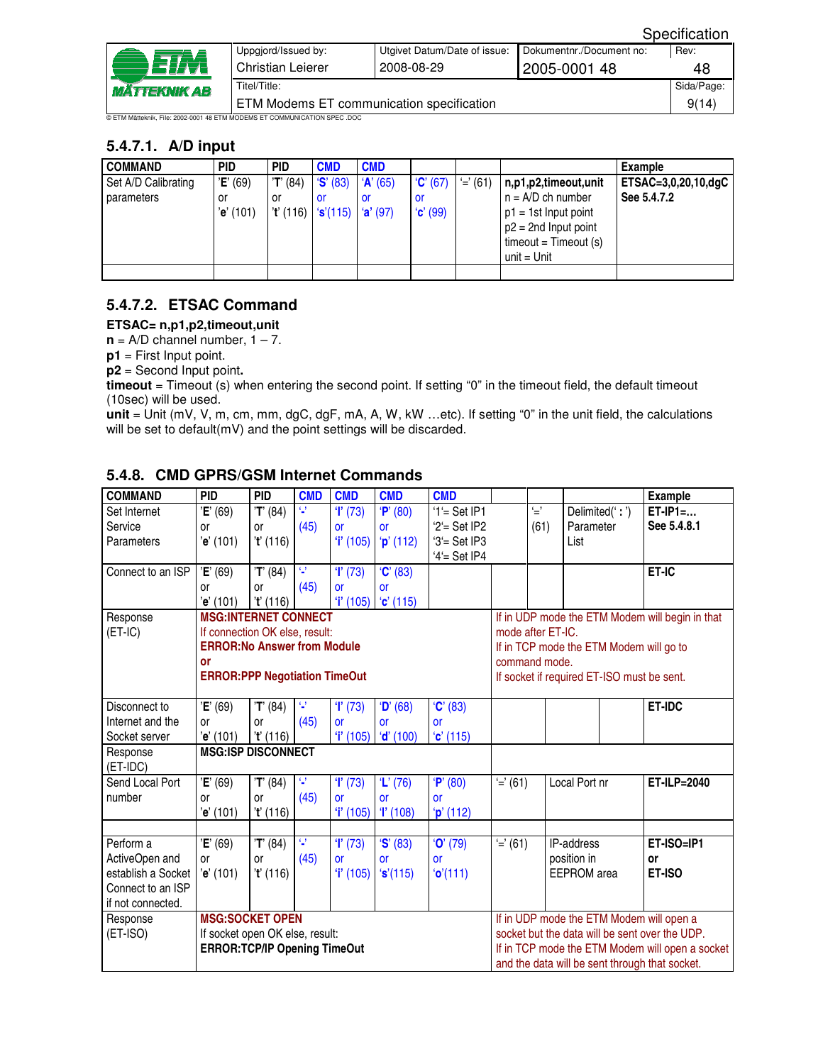|                            |                                                                           |                              |                          | ----------- |  |  |  |
|----------------------------|---------------------------------------------------------------------------|------------------------------|--------------------------|-------------|--|--|--|
|                            | Uppgjord/Issued by:                                                       | Utgivet Datum/Date of issue: | Dokumentnr./Document no: | Rev:        |  |  |  |
|                            | <b>Christian Leierer</b>                                                  | 2008-08-29                   | 2005-0001 48             | 48          |  |  |  |
| <i><b>MÄTTEKNIK AB</b></i> | Titel/Title:                                                              |                              |                          |             |  |  |  |
|                            | ETM Modems ET communication specification                                 |                              |                          |             |  |  |  |
|                            | © ETM Mätteknik. File: 2002-0001 48 ETM MODEMS ET COMMUNICATION SPEC .DOC |                              |                          |             |  |  |  |

#### **5.4.7.1. A/D input**

| <b>COMMAND</b>                    | <b>PID</b>                  | <b>PID</b>                                | <b>CMD</b>     | <b>CMD</b>                 |                        |            |                                                                                                                                            | Example                            |
|-----------------------------------|-----------------------------|-------------------------------------------|----------------|----------------------------|------------------------|------------|--------------------------------------------------------------------------------------------------------------------------------------------|------------------------------------|
| Set A/D Calibrating<br>parameters | 'E' (69)<br>or<br>'e' (101) | 'T' (84)<br>or<br>$i'$ (116) $i'$ s'(115) | S' (83)<br>.or | A' (65)<br>or<br>(a' (97)) | C'(67)<br>or<br>C'(99) | $' = (61)$ | n,p1,p2,timeout,unit<br>$n = A/D$ ch number<br>$p1 = 1st$ Input point<br>$p2 = 2nd$ Input point<br>$timeout = Timeout(s)$<br>$unit = Unit$ | ETSAC=3,0,20,10,dgC<br>See 5.4.7.2 |
|                                   |                             |                                           |                |                            |                        |            |                                                                                                                                            |                                    |

## **5.4.7.2. ETSAC Command**

#### **ETSAC= n,p1,p2,timeout,unit**

 $n = A/D$  channel number,  $1 - 7$ .

**p1** = First Input point.

**p2** = Second Input point**.** 

**timeout** = Timeout (s) when entering the second point. If setting "0" in the timeout field, the default timeout (10sec) will be used.

**unit** = Unit (mV, V, m, cm, mm, dgC, dgF, mA, A, W, kW …etc). If setting "0" in the unit field, the calculations will be set to default(mV) and the point settings will be discarded.

| <b>COMMAND</b>       | <b>PID</b>                                                                         | <b>PID</b> | <b>CMD</b> | <b>CMD</b> | <b>CMD</b>  | <b>CMD</b>       |                                                 |                   |                                         |  | <b>Example</b>                                  |
|----------------------|------------------------------------------------------------------------------------|------------|------------|------------|-------------|------------------|-------------------------------------------------|-------------------|-----------------------------------------|--|-------------------------------------------------|
| Set Internet         | 'E' (69)                                                                           | 'T' (84)   | 9          | T(73)      | P' (80)     | $1'$ = Set IP1   |                                                 | $\subseteq$       | Delimited(':')                          |  | $ET-IP1=$                                       |
| Service              | 0r                                                                                 | <b>or</b>  | (45)       | <b>or</b>  | or          | ' $2'$ = Set IP2 |                                                 | (61)              | Parameter                               |  | See 5.4.8.1                                     |
| Parameters           | 'e' (101)                                                                          | T(116)     |            | T(105)     | $'p'$ (112) | $3'$ = Set IP3   |                                                 |                   | List                                    |  |                                                 |
|                      |                                                                                    |            |            |            |             | ' $4$ '= Set IP4 |                                                 |                   |                                         |  |                                                 |
| Connect to an ISP    | 'E' (69)                                                                           | 'T' (84)   | Q.         | T(73)      | C' (83)     |                  |                                                 |                   |                                         |  | ET-IC                                           |
|                      | 0r                                                                                 | or         | (45)       | or         | <b>or</b>   |                  |                                                 |                   |                                         |  |                                                 |
|                      | 'e' (101)                                                                          | 't' (116)  |            | 'i' (105)  | C'(115)     |                  |                                                 |                   |                                         |  |                                                 |
| Response             | <b>MSG:INTERNET CONNECT</b>                                                        |            |            |            |             |                  |                                                 |                   |                                         |  | If in UDP mode the ETM Modem will begin in that |
| $(ET-IC)$            | If connection OK else, result:                                                     |            |            |            |             |                  |                                                 | mode after ET-IC. |                                         |  |                                                 |
|                      | <b>ERROR: No Answer from Module</b>                                                |            |            |            |             |                  |                                                 |                   | If in TCP mode the ETM Modem will go to |  |                                                 |
|                      | or                                                                                 |            |            |            |             |                  |                                                 | command mode.     |                                         |  |                                                 |
|                      | <b>ERROR:PPP Negotiation TimeOut</b><br>If socket if required ET-ISO must be sent. |            |            |            |             |                  |                                                 |                   |                                         |  |                                                 |
|                      |                                                                                    |            |            |            |             |                  |                                                 |                   |                                         |  |                                                 |
| Disconnect to        | 'E' (69)                                                                           | 'T' (84)   | 9          | T(73)      | D' (68)     | C' (83)          |                                                 |                   |                                         |  | <b>ET-IDC</b>                                   |
| Internet and the     | 0r                                                                                 | <b>or</b>  | (45)       | <b>or</b>  | or          | <b>or</b>        |                                                 |                   |                                         |  |                                                 |
| Socket server        | 'e' (101)                                                                          | 't' (116)  |            | T(105)     | $'d'$ (100) | (c' (115))       |                                                 |                   |                                         |  |                                                 |
| Response<br>(ET-IDC) | <b>MSG:ISP DISCONNECT</b>                                                          |            |            |            |             |                  |                                                 |                   |                                         |  |                                                 |
| Send Local Port      | 'E' (69)                                                                           | 'T' (84)   | 9          | T(73)      | $'L'$ (76)  | P' (80)          | E'(61)                                          |                   | Local Port nr                           |  | ET-ILP=2040                                     |
| number               | 0r                                                                                 | or         | (45)       | <b>or</b>  | or          | or               |                                                 |                   |                                         |  |                                                 |
|                      | 'e' (101)                                                                          | 't' (116)  |            | $i'$ (105) | T(108)      | $'p'$ (112)      |                                                 |                   |                                         |  |                                                 |
|                      |                                                                                    |            |            |            |             |                  |                                                 |                   |                                         |  |                                                 |
| Perform a            | 'E' (69)                                                                           | 'T' (84)   | 9          | T(73)      | S' (83)     | $'O'$ (79)       | $'=' (61)$                                      |                   | IP-address                              |  | ET-ISO=IP1                                      |
| ActiveOpen and       | <b>or</b>                                                                          | <b>or</b>  | (45)       | <b>or</b>  | <b>or</b>   | <b>or</b>        |                                                 |                   | position in                             |  | or                                              |
| establish a Socket   | 'e' (101)                                                                          | 't' (116)  |            | 'i' (105)  | 's'(115)    | 'o'(111)         |                                                 |                   | <b>EEPROM</b> area                      |  | ET-ISO                                          |
| Connect to an ISP    |                                                                                    |            |            |            |             |                  |                                                 |                   |                                         |  |                                                 |
| if not connected.    |                                                                                    |            |            |            |             |                  |                                                 |                   |                                         |  |                                                 |
| Response             | <b>MSG:SOCKET OPEN</b>                                                             |            |            |            |             |                  |                                                 |                   |                                         |  | If in UDP mode the ETM Modem will open a        |
| $(ET-ISO)$           | If socket open OK else, result:                                                    |            |            |            |             |                  | socket but the data will be sent over the UDP.  |                   |                                         |  |                                                 |
|                      | <b>ERROR:TCP/IP Opening TimeOut</b>                                                |            |            |            |             |                  | If in TCP mode the ETM Modem will open a socket |                   |                                         |  |                                                 |
|                      |                                                                                    |            |            |            |             |                  |                                                 |                   |                                         |  | and the data will be sent through that socket.  |

#### **5.4.8. CMD GPRS/GSM Internet Commands**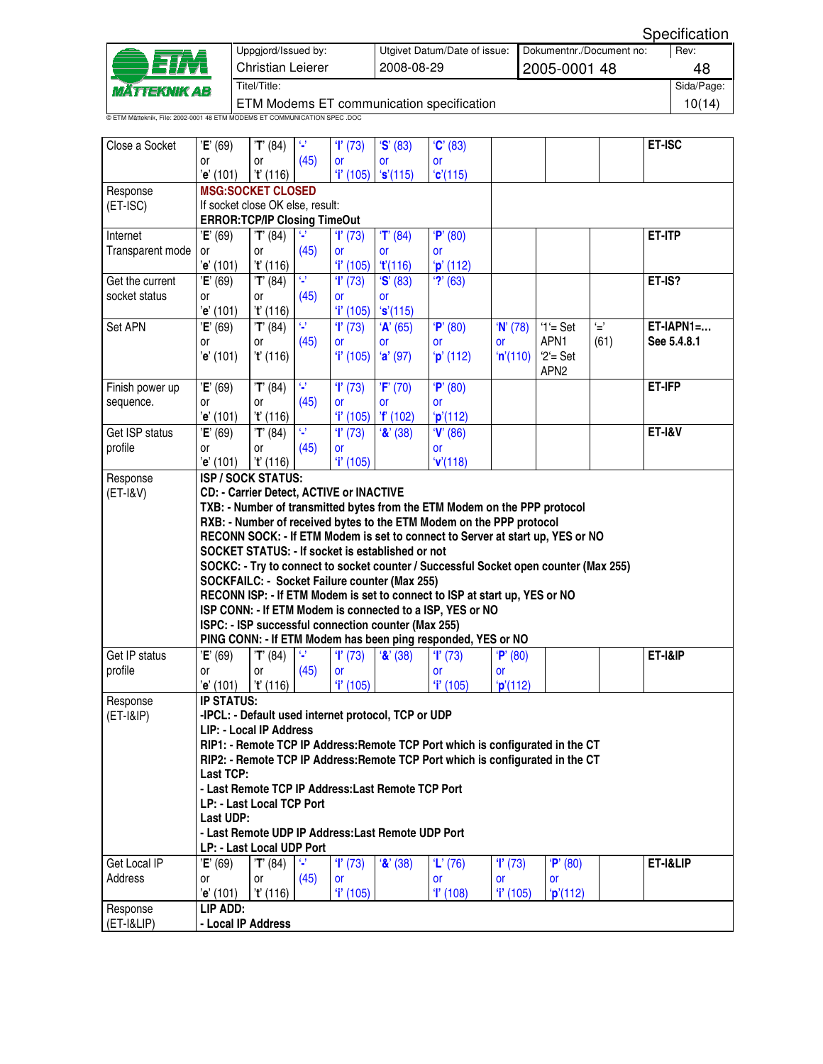| ETA<br><b>MÄTTEKNIK AB</b> | Uppgjord/Issued by:<br>Christian Leierer                                  | Utgivet Datum/Date of issue:<br>2008-08-29 | Dokumentnr./Document no:<br>12005-0001 48 | Rev:<br>48 |  |  |  |
|----------------------------|---------------------------------------------------------------------------|--------------------------------------------|-------------------------------------------|------------|--|--|--|
|                            | Titel/Title:                                                              |                                            |                                           |            |  |  |  |
|                            | ETM Modems ET communication specification                                 |                                            | 10(14)                                    |            |  |  |  |
|                            | © ETM Mätteknik, File: 2002-0001 48 ETM MODEMS ET COMMUNICATION SPEC .DOC |                                            |                                           |            |  |  |  |

| Close a Socket                   | 'E' (69)                                                                                                                                          | 'T' (84)        | 9    | T(73)                        | 'S' (83)                                            | C' (83)                                                                              |            |                  |      | ET-ISC        |  |  |  |  |
|----------------------------------|---------------------------------------------------------------------------------------------------------------------------------------------------|-----------------|------|------------------------------|-----------------------------------------------------|--------------------------------------------------------------------------------------|------------|------------------|------|---------------|--|--|--|--|
|                                  | 0r                                                                                                                                                | or              | (45) | <b>or</b>                    | or                                                  | or                                                                                   |            |                  |      |               |  |  |  |  |
|                                  | 'e' (101)                                                                                                                                         | 't' (116)       |      | $i'$ (105)                   | 's'(115)                                            | C'(115)                                                                              |            |                  |      |               |  |  |  |  |
| Response                         | <b>MSG:SOCKET CLOSED</b>                                                                                                                          |                 |      |                              |                                                     |                                                                                      |            |                  |      |               |  |  |  |  |
| $(ET-ISC)$                       | If socket close OK else, result:                                                                                                                  |                 |      |                              |                                                     |                                                                                      |            |                  |      |               |  |  |  |  |
|                                  | <b>ERROR:TCP/IP Closing TimeOut</b>                                                                                                               |                 |      |                              |                                                     |                                                                                      |            |                  |      |               |  |  |  |  |
| Internet                         | 'E' (69)                                                                                                                                          | 'T' (84)        | 9    | T(73)                        | T' (84)                                             | P' (80)                                                                              |            |                  |      | ET-ITP        |  |  |  |  |
| Transparent mode                 | 0r                                                                                                                                                | or              | (45) | <b>or</b>                    | or                                                  | <b>or</b>                                                                            |            |                  |      |               |  |  |  |  |
|                                  | 'e' (101)                                                                                                                                         | 't' (116)       | O,   | T(105)                       | T(116)                                              | $'p'$ (112)<br>$'$ ?' (63)                                                           |            |                  |      |               |  |  |  |  |
| Get the current<br>socket status | 'E' (69)                                                                                                                                          | 'T' (84)        |      | $\overline{\textbf{T}}$ (73) | S' (83)                                             |                                                                                      |            |                  |      | ET-IS?        |  |  |  |  |
|                                  | or<br>'e' (101)                                                                                                                                   | or<br>'t' (116) | (45) | or<br>T(105)                 | or<br>'s'(115)                                      |                                                                                      |            |                  |      |               |  |  |  |  |
| Set APN                          | 'E' (69)                                                                                                                                          | 'T' (84)        | O.   | T(73)                        | A' (65)                                             | P' (80)                                                                              | $'N'$ (78) | $1 = Set$        | Ú,   | $ET-IAPN1 = $ |  |  |  |  |
|                                  | 0r                                                                                                                                                | or              | (45) | <b>or</b>                    | <b>or</b>                                           | or                                                                                   | <b>or</b>  | APN1             | (61) | See 5.4.8.1   |  |  |  |  |
|                                  | 'e' (101)                                                                                                                                         | 't' (116)       |      | $i'$ (105)                   | 'a' (97)                                            | 'p' (112)                                                                            | 'n'(110)   | $2 = Set$        |      |               |  |  |  |  |
|                                  |                                                                                                                                                   |                 |      |                              |                                                     |                                                                                      |            | APN <sub>2</sub> |      |               |  |  |  |  |
| Finish power up                  | 'E' (69)                                                                                                                                          | 'T' (84)        | 9    | T(73)                        | 'F' (70)                                            | P' (80)                                                                              |            |                  |      | ET-IFP        |  |  |  |  |
| sequence.                        | 0r                                                                                                                                                | or              | (45) | <b>or</b>                    | or                                                  | or                                                                                   |            |                  |      |               |  |  |  |  |
|                                  | 'e' (101)                                                                                                                                         | 't' (116)       |      | $i'$ (105)                   | $r$ (102)                                           | p'(112)                                                                              |            |                  |      |               |  |  |  |  |
| Get ISP status                   | 'E' (69)                                                                                                                                          | 'T' (84)        | Q.   | T(73)                        | $'$ &' (38)                                         | V' (86)                                                                              |            |                  |      | ET-I&V        |  |  |  |  |
| profile                          | 0r                                                                                                                                                | 0r              | (45) | <b>or</b>                    |                                                     | <b>or</b>                                                                            |            |                  |      |               |  |  |  |  |
|                                  | 'e' (101)                                                                                                                                         | $i'$ (116)      |      | T(105)                       |                                                     | 'V(118)                                                                              |            |                  |      |               |  |  |  |  |
| Response                         | ISP / SOCK STATUS:                                                                                                                                |                 |      |                              |                                                     |                                                                                      |            |                  |      |               |  |  |  |  |
| $(ET-I&V)$                       | <b>CD: - Carrier Detect, ACTIVE or INACTIVE</b>                                                                                                   |                 |      |                              |                                                     |                                                                                      |            |                  |      |               |  |  |  |  |
|                                  | TXB: - Number of transmitted bytes from the ETM Modem on the PPP protocol<br>RXB: - Number of received bytes to the ETM Modem on the PPP protocol |                 |      |                              |                                                     |                                                                                      |            |                  |      |               |  |  |  |  |
|                                  |                                                                                                                                                   |                 |      |                              |                                                     |                                                                                      |            |                  |      |               |  |  |  |  |
|                                  |                                                                                                                                                   |                 |      |                              |                                                     | RECONN SOCK: - If ETM Modem is set to connect to Server at start up, YES or NO       |            |                  |      |               |  |  |  |  |
|                                  |                                                                                                                                                   |                 |      |                              | SOCKET STATUS: - If socket is established or not    | SOCKC: - Try to connect to socket counter / Successful Socket open counter (Max 255) |            |                  |      |               |  |  |  |  |
|                                  |                                                                                                                                                   |                 |      |                              | SOCKFAILC: - Socket Failure counter (Max 255)       |                                                                                      |            |                  |      |               |  |  |  |  |
|                                  |                                                                                                                                                   |                 |      |                              |                                                     | RECONN ISP: - If ETM Modem is set to connect to ISP at start up, YES or NO           |            |                  |      |               |  |  |  |  |
|                                  |                                                                                                                                                   |                 |      |                              |                                                     | ISP CONN: - If ETM Modem is connected to a ISP, YES or NO                            |            |                  |      |               |  |  |  |  |
|                                  |                                                                                                                                                   |                 |      |                              | ISPC: - ISP successful connection counter (Max 255) |                                                                                      |            |                  |      |               |  |  |  |  |
|                                  |                                                                                                                                                   |                 |      |                              |                                                     | PING CONN: - If ETM Modem has been ping responded, YES or NO                         |            |                  |      |               |  |  |  |  |
| Get IP status                    | 'E' (69)                                                                                                                                          | 'T' (84)        | Ø    | T(73)                        | $\mathbf{R}'(38)$                                   | T(73)                                                                                | P' (80)    |                  |      | ET-I&IP       |  |  |  |  |
| profile                          | or                                                                                                                                                | or              | (45) | or                           |                                                     | <b>or</b>                                                                            | <b>or</b>  |                  |      |               |  |  |  |  |
|                                  | 'e' (101)                                                                                                                                         | 't' (116)       |      | T(105)                       |                                                     | 'i' (105)                                                                            | 'p'(112)   |                  |      |               |  |  |  |  |
| Response                         | <b>IP STATUS:</b>                                                                                                                                 |                 |      |                              |                                                     |                                                                                      |            |                  |      |               |  |  |  |  |
| (ET-1&IP)                        |                                                                                                                                                   |                 |      |                              | -IPCL: - Default used internet protocol, TCP or UDP |                                                                                      |            |                  |      |               |  |  |  |  |
|                                  | <b>LIP: - Local IP Address</b>                                                                                                                    |                 |      |                              |                                                     |                                                                                      |            |                  |      |               |  |  |  |  |
|                                  |                                                                                                                                                   |                 |      |                              |                                                     | RIP1: - Remote TCP IP Address: Remote TCP Port which is configurated in the CT       |            |                  |      |               |  |  |  |  |
|                                  | <b>Last TCP:</b>                                                                                                                                  |                 |      |                              |                                                     | RIP2: - Remote TCP IP Address: Remote TCP Port which is configurated in the CT       |            |                  |      |               |  |  |  |  |
|                                  |                                                                                                                                                   |                 |      |                              | - Last Remote TCP IP Address: Last Remote TCP Port  |                                                                                      |            |                  |      |               |  |  |  |  |
|                                  | LP: - Last Local TCP Port                                                                                                                         |                 |      |                              |                                                     |                                                                                      |            |                  |      |               |  |  |  |  |
|                                  | Last UDP:                                                                                                                                         |                 |      |                              |                                                     |                                                                                      |            |                  |      |               |  |  |  |  |
|                                  |                                                                                                                                                   |                 |      |                              | - Last Remote UDP IP Address: Last Remote UDP Port  |                                                                                      |            |                  |      |               |  |  |  |  |
|                                  | LP: - Last Local UDP Port                                                                                                                         |                 |      |                              |                                                     |                                                                                      |            |                  |      |               |  |  |  |  |
| Get Local IP                     | 'E' (69)                                                                                                                                          | 'T' (84)        | 9.   | T(73)                        | $\mathbf{R}'(38)$                                   | $'L'$ (76)                                                                           | T(73)      | P' (80)          |      | ET-I&LIP      |  |  |  |  |
| Address                          | or                                                                                                                                                | or              | (45) | <b>or</b>                    |                                                     | or                                                                                   | or         | or               |      |               |  |  |  |  |
|                                  | 'e' (101)                                                                                                                                         | 't' (116)       |      | T(105)                       |                                                     | T(108)                                                                               | 'i' (105)  | 'p'(112)         |      |               |  |  |  |  |
| Response                         | LIP ADD:                                                                                                                                          |                 |      |                              |                                                     |                                                                                      |            |                  |      |               |  |  |  |  |
| (ET-I&LIP)                       | - Local IP Address                                                                                                                                |                 |      |                              |                                                     |                                                                                      |            |                  |      |               |  |  |  |  |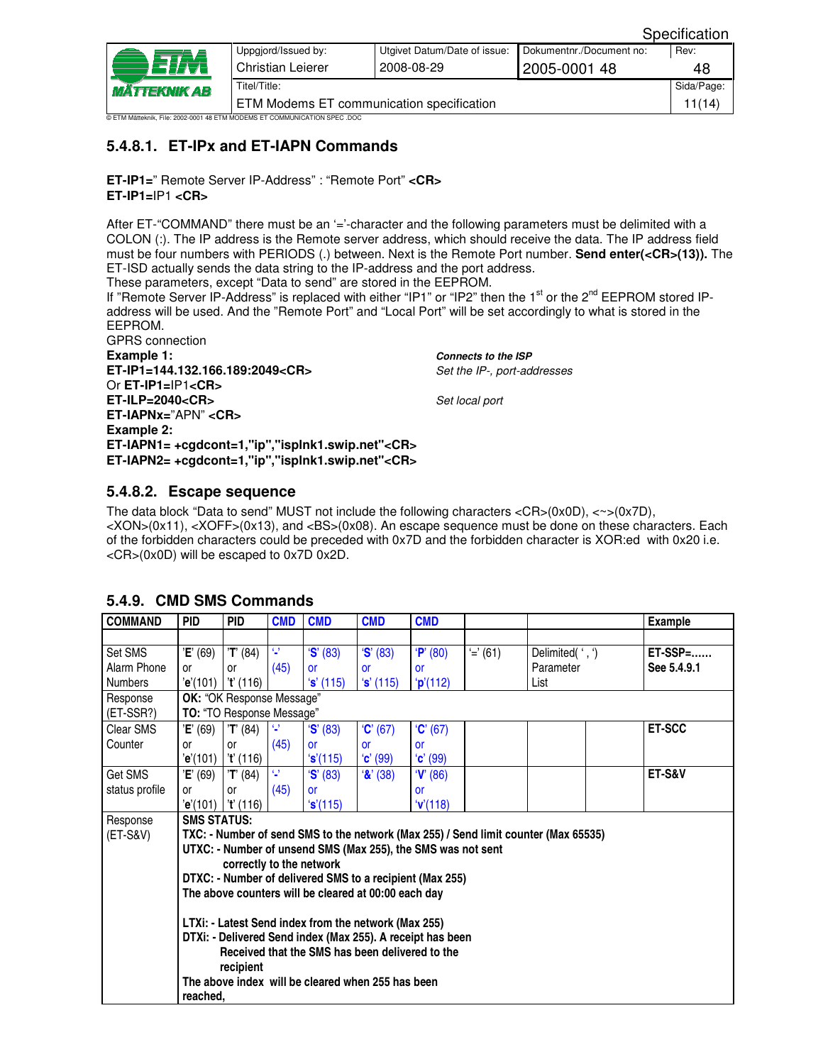|                                        |                                                                           |                              |                          | Specification |  |  |  |
|----------------------------------------|---------------------------------------------------------------------------|------------------------------|--------------------------|---------------|--|--|--|
| - = 17yı<br><i><b>MÄTTEKNIK AB</b></i> | Uppgjord/Issued by:                                                       | Utgivet Datum/Date of issue: | Dokumentnr./Document no: | Rev:          |  |  |  |
|                                        | Christian Leierer                                                         | 2008-08-29                   | 2005-0001 48             | 48            |  |  |  |
|                                        | Titel/Title:                                                              |                              |                          |               |  |  |  |
|                                        | ETM Modems ET communication specification                                 |                              |                          |               |  |  |  |
|                                        | © ETM Mätteknik. File: 2002-0001 48 ETM MODEMS ET COMMUNICATION SPEC .DOC |                              |                          |               |  |  |  |

## **5.4.8.1. ET-IPx and ET-IAPN Commands**

**ET-IP1=**" Remote Server IP-Address" : "Remote Port" **<CR> ET-IP1=**IP1 **<CR>** 

After ET-"COMMAND" there must be an '='-character and the following parameters must be delimited with a COLON (:). The IP address is the Remote server address, which should receive the data. The IP address field must be four numbers with PERIODS (.) between. Next is the Remote Port number. **Send enter(<CR>(13)).** The ET-ISD actually sends the data string to the IP-address and the port address. These parameters, except "Data to send" are stored in the EEPROM.

If "Remote Server IP-Address" is replaced with either "IP1" or "IP2" then the 1<sup>st</sup> or the 2<sup>nd</sup> EEPROM stored IPaddress will be used. And the "Remote Port" and "Local Port" will be set accordingly to what is stored in the EEPROM.

| <b>GPRS</b> connection                                 |                             |
|--------------------------------------------------------|-----------------------------|
| Example 1:                                             | <b>Connects to the ISP</b>  |
| ET-IP1=144.132.166.189:2049 <cr></cr>                  | Set the IP-, port-addresses |
| Or $ET$ -IP1=IP1 <cr></cr>                             |                             |
| $ET$ -ILP=2040 <cr></cr>                               | Set local port              |
| $ET-IAPNx="APN" < CR>$                                 |                             |
| Example 2:                                             |                             |
| ET-IAPN1= +cgdcont=1,"ip","isplnk1.swip.net" <cr></cr> |                             |
| ET-IAPN2= +cgdcont=1,"ip","isplnk1.swip.net" <cr></cr> |                             |
|                                                        |                             |

#### **5.4.8.2. Escape sequence**

The data block "Data to send" MUST not include the following characters  $\langle CR \rangle (0x0D)$ ,  $\langle \sim \rangle (0x7D)$ , <XON>(0x11), <XOFF>(0x13), and <BS>(0x08). An escape sequence must be done on these characters. Each of the forbidden characters could be preceded with 0x7D and the forbidden character is XOR:ed with 0x20 i.e. <CR>(0x0D) will be escaped to 0x7D 0x2D.

| <b>COMMAND</b> | <b>PID</b>                       | <b>PID</b>                | <b>CMD</b> | <b>CMD</b>                                           | <b>CMD</b>        | <b>CMD</b>                                                   |            |                                                                                     | <b>Example</b>    |  |  |  |  |
|----------------|----------------------------------|---------------------------|------------|------------------------------------------------------|-------------------|--------------------------------------------------------------|------------|-------------------------------------------------------------------------------------|-------------------|--|--|--|--|
|                |                                  |                           |            |                                                      |                   |                                                              |            |                                                                                     |                   |  |  |  |  |
| Set SMS        | 'E' (69)                         | 'T' (84)                  | Q,         | S' (83)                                              | S' (83)           | P' (80)                                                      | $'=' (61)$ | Delimited(', ')                                                                     | ET-SSP=           |  |  |  |  |
| Alarm Phone    | or                               | or                        | (45)       | or                                                   | <b>or</b>         | or                                                           |            | Parameter                                                                           | See 5.4.9.1       |  |  |  |  |
| <b>Numbers</b> | 'e'(101)                         | 't' (116)                 |            | 's' (115)                                            | 's' (115)         | 'p'(112)                                                     |            | List                                                                                |                   |  |  |  |  |
| Response       |                                  | OK: "OK Response Message" |            |                                                      |                   |                                                              |            |                                                                                     |                   |  |  |  |  |
| (ET-SSR?)      | <b>TO: "TO Response Message"</b> |                           |            |                                                      |                   |                                                              |            |                                                                                     |                   |  |  |  |  |
| Clear SMS      | 'E' (69)                         | 'T' (84)                  | Ω.         | S'(83)                                               | C' (67)           | C'(67)                                                       |            |                                                                                     | ET-SCC            |  |  |  |  |
| Counter        | or                               | or                        | (45)       | <b>or</b>                                            | <b>or</b>         | <b>or</b>                                                    |            |                                                                                     |                   |  |  |  |  |
|                | 'e'(101)                         | 't' (116)                 |            | 's'(115)                                             | $C'$ (99)         | C'(99)                                                       |            |                                                                                     |                   |  |  |  |  |
| Get SMS        | 'E' (69)                         | 'T' (84)                  | O.         | S' (83)                                              | $\mathbf{R}'(38)$ | V(86)                                                        |            |                                                                                     | <b>ET-S&amp;V</b> |  |  |  |  |
| status profile | or                               | or                        | (45)       | or                                                   |                   | or                                                           |            |                                                                                     |                   |  |  |  |  |
|                | 'e'(101)                         | 't' (116)                 |            | 's'(115)                                             |                   | 'V(118)                                                      |            |                                                                                     |                   |  |  |  |  |
| Response       | <b>SMS STATUS:</b>               |                           |            |                                                      |                   |                                                              |            |                                                                                     |                   |  |  |  |  |
| (ET-S&V)       |                                  |                           |            |                                                      |                   |                                                              |            | TXC: - Number of send SMS to the network (Max 255) / Send limit counter (Max 65535) |                   |  |  |  |  |
|                |                                  |                           |            |                                                      |                   | UTXC: - Number of unsend SMS (Max 255), the SMS was not sent |            |                                                                                     |                   |  |  |  |  |
|                |                                  | correctly to the network  |            |                                                      |                   |                                                              |            |                                                                                     |                   |  |  |  |  |
|                |                                  |                           |            |                                                      |                   | DTXC: - Number of delivered SMS to a recipient (Max 255)     |            |                                                                                     |                   |  |  |  |  |
|                |                                  |                           |            | The above counters will be cleared at 00:00 each day |                   |                                                              |            |                                                                                     |                   |  |  |  |  |
|                |                                  |                           |            |                                                      |                   |                                                              |            |                                                                                     |                   |  |  |  |  |
|                |                                  |                           |            | LTXi: - Latest Send index from the network (Max 255) |                   |                                                              |            |                                                                                     |                   |  |  |  |  |
|                |                                  |                           |            |                                                      |                   | DTXi: - Delivered Send index (Max 255). A receipt has been   |            |                                                                                     |                   |  |  |  |  |
|                |                                  |                           |            | Received that the SMS has been delivered to the      |                   |                                                              |            |                                                                                     |                   |  |  |  |  |
|                |                                  | recipient                 |            |                                                      |                   |                                                              |            |                                                                                     |                   |  |  |  |  |
|                |                                  |                           |            | The above index will be cleared when 255 has been    |                   |                                                              |            |                                                                                     |                   |  |  |  |  |
|                | reached.                         |                           |            |                                                      |                   |                                                              |            |                                                                                     |                   |  |  |  |  |

## **5.4.9. CMD SMS Commands**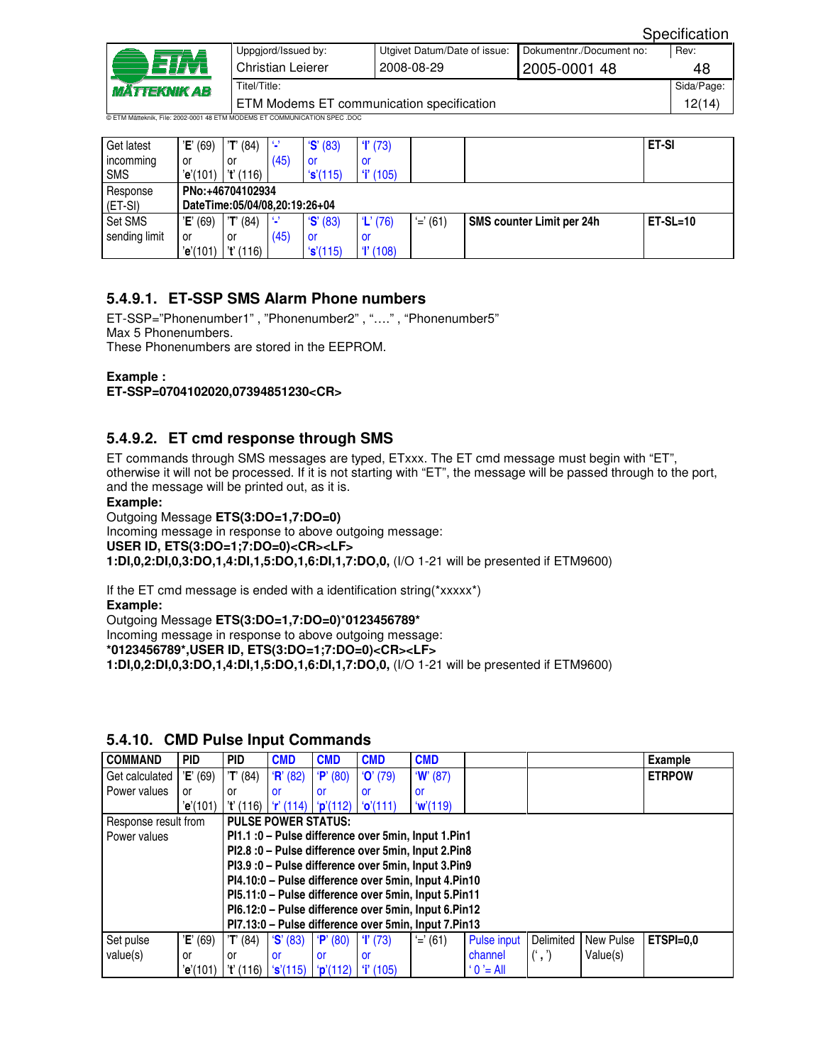| <i><b>MÄTTEKNIK AB</b></i> | Uppgjord/Issued by:<br>Christian Leierer                                   | Utgivet Datum/Date of issue:<br>2008-08-29 | Dokumentnr./Document no:<br>2005-0001 48 | Rev:<br>48 |  |  |  |  |
|----------------------------|----------------------------------------------------------------------------|--------------------------------------------|------------------------------------------|------------|--|--|--|--|
|                            | Titel/Title:                                                               |                                            |                                          |            |  |  |  |  |
|                            | ETM Modems ET communication specification                                  |                                            |                                          |            |  |  |  |  |
|                            | © ETM Mätteknik. Eile: 2002-0001 48 ETM MODEMS ET COMMUNICATION SPEC. DOC. |                                            |                                          |            |  |  |  |  |

| Get latest    | 'E' (69)                      | 'T' (84)         | -9   | S' (83)           | T(73)      |            |                           | <b>ET-SI</b> |  |  |  |  |  |
|---------------|-------------------------------|------------------|------|-------------------|------------|------------|---------------------------|--------------|--|--|--|--|--|
| incomming     | or                            | or               | (45) | -OI               | or         |            |                           |              |  |  |  |  |  |
| <b>SMS</b>    | 'e'(101)                      | 't' (116)        |      | 's'(115)          | $i'$ (105) |            |                           |              |  |  |  |  |  |
| Response      |                               | PNo:+46704102934 |      |                   |            |            |                           |              |  |  |  |  |  |
| $(ET-SI)$     | DateTime:05/04/08,20:19:26+04 |                  |      |                   |            |            |                           |              |  |  |  |  |  |
| Set SMS       | 'E' (69)                      | T' (84)          | -9   | $\mathbf{S}'(83)$ | $'L'$ (76) | $' = (61)$ | SMS counter Limit per 24h | $ET-SL=10$   |  |  |  |  |  |
| sending limit | or                            | or               | (45) | -OI               | .or        |            |                           |              |  |  |  |  |  |
|               | 'e'(101)                      | 't' (116)        |      | 's'(115)          | T(108)     |            |                           |              |  |  |  |  |  |

## **5.4.9.1. ET-SSP SMS Alarm Phone numbers**

ET-SSP="Phonenumber1" , "Phonenumber2" , "…." , "Phonenumber5" Max 5 Phonenumbers. These Phonenumbers are stored in the EEPROM.

**Example :** 

**ET-SSP=0704102020,07394851230<CR>** 

#### **5.4.9.2. ET cmd response through SMS**

ET commands through SMS messages are typed, ETxxx. The ET cmd message must begin with "ET", otherwise it will not be processed. If it is not starting with "ET", the message will be passed through to the port, and the message will be printed out, as it is.

#### **Example:**

Outgoing Message **ETS(3:DO=1,7:DO=0)**

Incoming message in response to above outgoing message: **USER ID, ETS(3:DO=1;7:DO=0)<CR><LF> 1:DI,0,2:DI,0,3:DO,1,4:DI,1,5:DO,1,6:DI,1,7:DO,0,** (I/O 1-21 will be presented if ETM9600)

If the ET cmd message is ended with a identification string(\*xxxxx\*) **Example:** 

Outgoing Message **ETS(3:DO=1,7:DO=0)**\***0123456789\*** Incoming message in response to above outgoing message: **\*0123456789\*,USER ID, ETS(3:DO=1;7:DO=0)<CR><LF> 1:DI,0,2:DI,0,3:DO,1,4:DI,1,5:DO,1,6:DI,1,7:DO,0,** (I/O 1-21 will be presented if ETM9600)

| <b>COMMAND</b>                                     | <b>PID</b> | PID                                                 | <b>CMD</b> | <b>CMD</b> | <b>CMD</b> | <b>CMD</b>                                           |             |           |           | <b>Example</b> |  |
|----------------------------------------------------|------------|-----------------------------------------------------|------------|------------|------------|------------------------------------------------------|-------------|-----------|-----------|----------------|--|
| Get calculated                                     | 'E' (69)   | 'T' (84)                                            | R' (82)    | P' (80)    | $'O'$ (79) | W(87)                                                |             |           |           | <b>ETRPOW</b>  |  |
| Power values                                       | or         | or                                                  | or         | or         | or         | or                                                   |             |           |           |                |  |
|                                                    | 'e'(101)   | 't' (116)                                           | r'(114)    | p'(112)    | 'o'(111)   | w'(119)                                              |             |           |           |                |  |
| Response result from<br><b>PULSE POWER STATUS:</b> |            |                                                     |            |            |            |                                                      |             |           |           |                |  |
| l Power values                                     |            | PI1.1 :0 – Pulse difference over 5min, Input 1.Pin1 |            |            |            |                                                      |             |           |           |                |  |
|                                                    |            | PI2.8:0 – Pulse difference over 5min, Input 2.Pin8  |            |            |            |                                                      |             |           |           |                |  |
|                                                    |            |                                                     |            |            |            | PI3.9:0 - Pulse difference over 5min, Input 3.Pin9   |             |           |           |                |  |
|                                                    |            |                                                     |            |            |            | PI4.10:0 – Pulse difference over 5min, Input 4.Pin10 |             |           |           |                |  |
|                                                    |            |                                                     |            |            |            | PI5.11:0 – Pulse difference over 5min, Input 5.Pin11 |             |           |           |                |  |
|                                                    |            |                                                     |            |            |            | PI6.12:0 – Pulse difference over 5min, Input 6.Pin12 |             |           |           |                |  |
|                                                    |            |                                                     |            |            |            | PI7.13:0 – Pulse difference over 5min, Input 7.Pin13 |             |           |           |                |  |
| Set pulse                                          | 'E' (69)   | 'T' (84)                                            | S' (83)    | P' (80)    | T(73)      | $' = (61)$                                           | Pulse input | Delimited | New Pulse | $ETSPI=0.0$    |  |
| value(s)                                           | or         | or                                                  | <b>or</b>  | <b>or</b>  | or         |                                                      | channel     | (1, 1)    | Value(s)  |                |  |
|                                                    | 'e'(101)   | 't' (116)                                           | 's'(115)   | p'(112)    | $i'$ (105) |                                                      | $'0'$ = All |           |           |                |  |

#### **5.4.10. CMD Pulse Input Commands**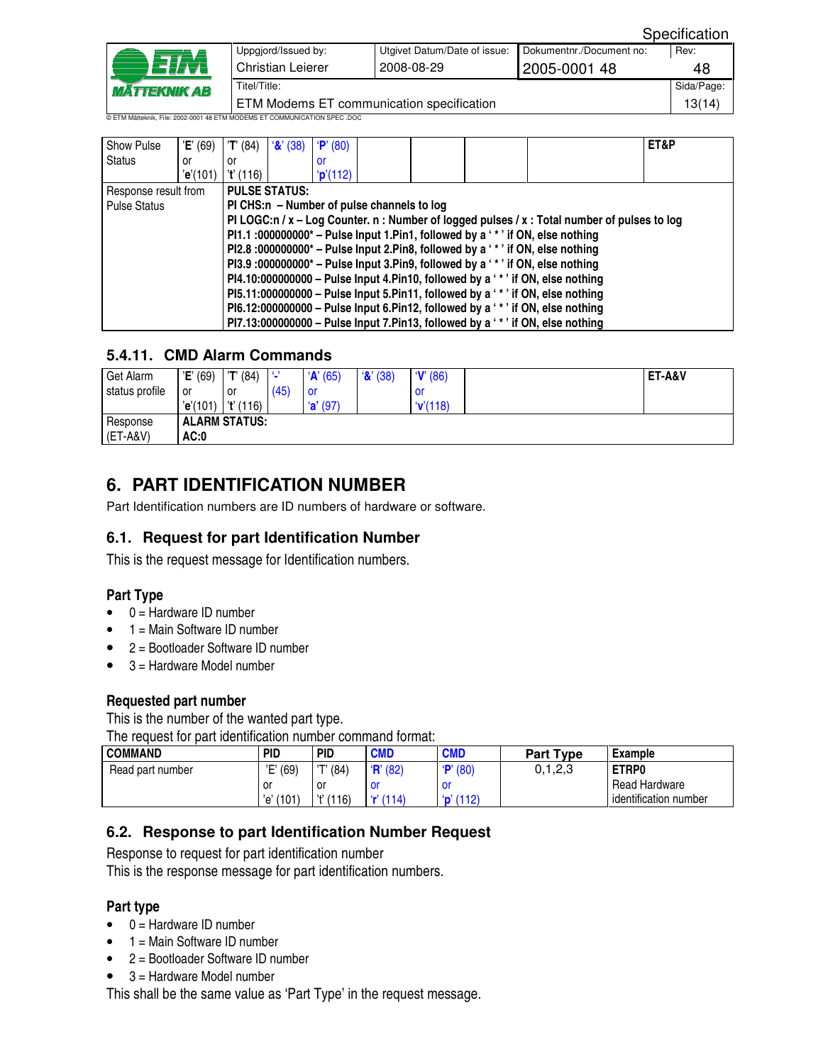|                                                                           |                                           |                              |                          | Specification |  |  |
|---------------------------------------------------------------------------|-------------------------------------------|------------------------------|--------------------------|---------------|--|--|
|                                                                           | Uppgjord/Issued by:                       | Utgivet Datum/Date of issue: | Dokumentnr./Document no: | Rev:          |  |  |
| <b>MÄTTEKNIK AB</b>                                                       | <b>Christian Leierer</b>                  | 2008-08-29                   | 2005-0001 48             | 48            |  |  |
|                                                                           | Sida/Page:<br>Titel/Title:                |                              |                          |               |  |  |
|                                                                           | ETM Modems ET communication specification |                              | 13(14)                   |               |  |  |
| © ETM Mätteknik, File: 2002-0001 48 ETM MODEMS ET COMMUNICATION SPEC .DOC |                                           |                              |                          |               |  |  |

| Show Pulse                                                                                | 'E' (69)                                                                      | 'T' (84)  | $\mathbf{R}'(38)$    | P' (80)        |                                            |  |                                                                                              | ET&P |
|-------------------------------------------------------------------------------------------|-------------------------------------------------------------------------------|-----------|----------------------|----------------|--------------------------------------------|--|----------------------------------------------------------------------------------------------|------|
| Status                                                                                    | or                                                                            | or        |                      | or             |                                            |  |                                                                                              |      |
|                                                                                           | 'e'(101)                                                                      | 't' (116) |                      | <b>p'(112)</b> |                                            |  |                                                                                              |      |
| Response result from                                                                      |                                                                               |           | <b>PULSE STATUS:</b> |                |                                            |  |                                                                                              |      |
| <b>Pulse Status</b>                                                                       |                                                                               |           |                      |                | PI CHS:n – Number of pulse channels to log |  |                                                                                              |      |
|                                                                                           |                                                                               |           |                      |                |                                            |  | PI LOGC:n / x – Log Counter. n : Number of logged pulses / x : Total number of pulses to log |      |
|                                                                                           |                                                                               |           |                      |                |                                            |  | P11.1 :000000000* – Pulse Input 1. Pin1, followed by a '*' if ON, else nothing               |      |
|                                                                                           | PI2.8 :000000000* – Pulse Input 2.Pin8, followed by a '*' if ON, else nothing |           |                      |                |                                            |  |                                                                                              |      |
| PI3.9 :000000000 <sup>*</sup> – Pulse Input 3.Pin9, followed by a '*' if ON, else nothing |                                                                               |           |                      |                |                                            |  |                                                                                              |      |
| $P14.10:000000000 -$ Pulse Input 4. Pin10, followed by a '*' if ON, else nothing          |                                                                               |           |                      |                |                                            |  |                                                                                              |      |
|                                                                                           |                                                                               |           |                      |                |                                            |  | PI5.11:000000000 - Pulse Input 5.Pin11, followed by a '*' if ON, else nothing                |      |
|                                                                                           |                                                                               |           |                      |                |                                            |  | PI6.12:000000000 – Pulse Input 6.Pin12, followed by a '*' if ON, else nothing                |      |
|                                                                                           |                                                                               |           |                      |                |                                            |  | PI7.13:000000000 - Pulse Input 7.Pin13, followed by a '*' if ON, else nothing                |      |

## **5.4.11. CMD Alarm Commands**

| Get Alarm      | 'E' (69) | 'T' (84)             | -9   | 'A' (65)   | $\mathcal{X}'(38)$ | V(86)  | ET-A&V |
|----------------|----------|----------------------|------|------------|--------------------|--------|--------|
| status profile | or       | or                   | (45) | . or       |                    | .or    |        |
|                | 'e'(101) | l 't' (116)          |      | $'a'$ (97) |                    | V(118) |        |
| Response       |          | <b>ALARM STATUS:</b> |      |            |                    |        |        |
| (ET-A&V)       | AC:0     |                      |      |            |                    |        |        |

# **6. PART IDENTIFICATION NUMBER**

Part Identification numbers are ID numbers of hardware or software.

## **6.1. Request for part Identification Number**

This is the request message for Identification numbers.

#### **Part Type**

- $\bullet$  0 = Hardware ID number
- $\bullet$  1 = Main Software ID number
- 2 = Bootloader Software ID number
- $\bullet$  3 = Hardware Model number

#### **Requested part number**

This is the number of the wanted part type.

The request for part identification number command format:

| <b>COMMAND</b>   | <b>PID</b>   | <b>PID</b>   | <b>CMD</b> | <b>CMD</b>       | <b>Part Type</b> | <b>Example</b>        |
|------------------|--------------|--------------|------------|------------------|------------------|-----------------------|
| Read part number | 'E' (69)     | 'T' (84)     | H' (82)    | P' (80)          | 0.1, 2.3         | ETRP0                 |
|                  | . or         | or           | OI         | O                |                  | <b>Read Hardware</b>  |
|                  | (101)<br>'e' | (116)<br>,,, | r(114)     | <b>p</b> ' (112) |                  | identification number |

#### **6.2. Response to part Identification Number Request**

Response to request for part identification number

This is the response message for part identification numbers.

#### **Part type**

- $\bullet$  0 = Hardware ID number
- $\bullet$  1 = Main Software ID number
- 2 = Bootloader Software ID number
- $\bullet$  3 = Hardware Model number

This shall be the same value as 'Part Type' in the request message.